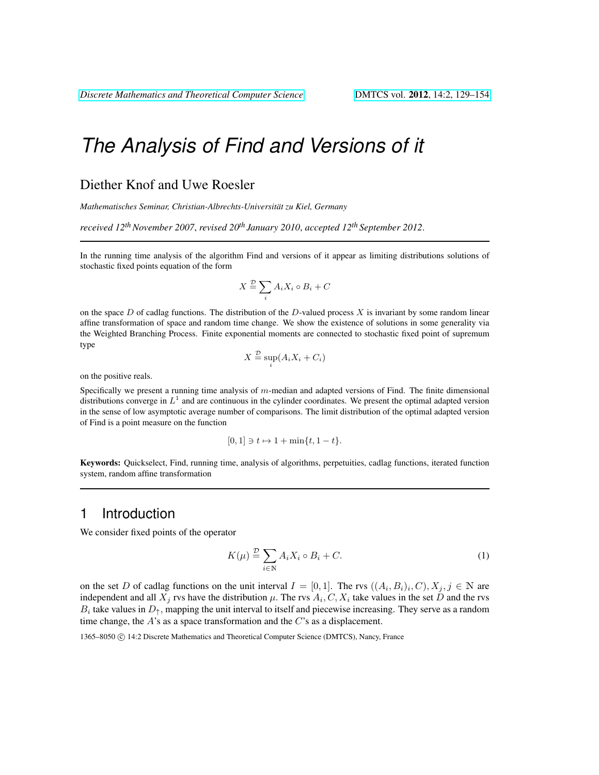### Diether Knof and Uwe Roesler

*Mathematisches Seminar, Christian-Albrechts-Universitat zu Kiel, Germany ¨*

*received 12thNovember 2007*, *revised 20th January 2010*, *accepted 12th September 2012*.

In the running time analysis of the algorithm Find and versions of it appear as limiting distributions solutions of stochastic fixed points equation of the form

$$
X \stackrel{\mathcal{D}}{=} \sum_{i} A_i X_i \circ B_i + C
$$

on the space D of cadlag functions. The distribution of the D-valued process  $X$  is invariant by some random linear affine transformation of space and random time change. We show the existence of solutions in some generality via the Weighted Branching Process. Finite exponential moments are connected to stochastic fixed point of supremum type

$$
X \stackrel{\mathcal{D}}{=} \sup_i (A_i X_i + C_i)
$$

on the positive reals.

Specifically we present a running time analysis of  $m$ -median and adapted versions of Find. The finite dimensional distributions converge in  $L<sup>1</sup>$  and are continuous in the cylinder coordinates. We present the optimal adapted version in the sense of low asymptotic average number of comparisons. The limit distribution of the optimal adapted version of Find is a point measure on the function

$$
[0,1] \ni t \mapsto 1 + \min\{t, 1 - t\}.
$$

Keywords: Quickselect, Find, running time, analysis of algorithms, perpetuities, cadlag functions, iterated function system, random affine transformation

# 1 Introduction

We consider fixed points of the operator

$$
K(\mu) \stackrel{\mathcal{D}}{=} \sum_{i \in \mathbb{N}} A_i X_i \circ B_i + C. \tag{1}
$$

on the set D of cadlag functions on the unit interval  $I = [0,1]$ . The rvs  $((A_i, B_i)_i, C), X_j, j \in \mathbb{N}$  are independent and all  $X_j$  rvs have the distribution  $\mu$ . The rvs  $A_i, C, X_i$  take values in the set D and the rvs  $B_i$  take values in  $D_{\uparrow}$ , mapping the unit interval to itself and piecewise increasing. They serve as a random time change, the  $A$ 's as a space transformation and the  $C$ 's as a displacement.

1365–8050 C 14:2 Discrete Mathematics and Theoretical Computer Science (DMTCS), Nancy, France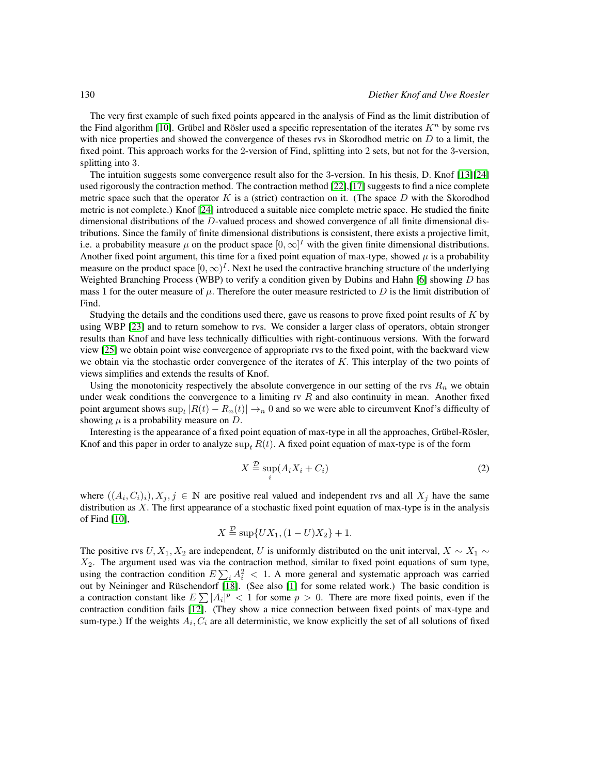The very first example of such fixed points appeared in the analysis of Find as the limit distribution of the Find algorithm [\[10\]](#page-24-0). Grübel and Rösler used a specific representation of the iterates  $K<sup>n</sup>$  by some rvs with nice properties and showed the convergence of theses rvs in Skorodhod metric on  $D$  to a limit, the fixed point. This approach works for the 2-version of Find, splitting into 2 sets, but not for the 3-version, splitting into 3.

The intuition suggests some convergence result also for the 3-version. In his thesis, D. Knof [\[13\]](#page-25-0)[\[24\]](#page-25-1) used rigorously the contraction method. The contraction method [\[22\]](#page-25-2),[\[17\]](#page-25-3) suggests to find a nice complete metric space such that the operator K is a (strict) contraction on it. (The space  $D$  with the Skorodhod metric is not complete.) Knof [\[24\]](#page-25-1) introduced a suitable nice complete metric space. He studied the finite dimensional distributions of the D-valued process and showed convergence of all finite dimensional distributions. Since the family of finite dimensional distributions is consistent, there exists a projective limit, i.e. a probability measure  $\mu$  on the product space  $[0,\infty]^I$  with the given finite dimensional distributions. Another fixed point argument, this time for a fixed point equation of max-type, showed  $\mu$  is a probability measure on the product space  $[0, \infty)^I$ . Next he used the contractive branching structure of the underlying Weighted Branching Process (WBP) to verify a condition given by Dubins and Hahn [\[6\]](#page-24-1) showing D has mass 1 for the outer measure of  $\mu$ . Therefore the outer measure restricted to D is the limit distribution of Find.

Studying the details and the conditions used there, gave us reasons to prove fixed point results of K by using WBP [\[23\]](#page-25-4) and to return somehow to rvs. We consider a larger class of operators, obtain stronger results than Knof and have less technically difficulties with right-continuous versions. With the forward view [\[25\]](#page-25-5) we obtain point wise convergence of appropriate rvs to the fixed point, with the backward view we obtain via the stochastic order convergence of the iterates of K. This interplay of the two points of views simplifies and extends the results of Knof.

Using the monotonicity respectively the absolute convergence in our setting of the rvs  $R_n$  we obtain under weak conditions the convergence to a limiting rv  $R$  and also continuity in mean. Another fixed point argument shows  $\sup_t |R(t) - R_n(t)| \to_n 0$  and so we were able to circumvent Knof's difficulty of showing  $\mu$  is a probability measure on D.

Interesting is the appearance of a fixed point equation of max-type in all the approaches, Grübel-Rösler, Knof and this paper in order to analyze sup,  $R(t)$ . A fixed point equation of max-type is of the form

<span id="page-1-0"></span>
$$
X \stackrel{\mathcal{D}}{=} \sup_{i} (A_i X_i + C_i) \tag{2}
$$

where  $((A_i, C_i)_i), X_j, j \in \mathbb{N}$  are positive real valued and independent rvs and all  $X_j$  have the same distribution as X. The first appearance of a stochastic fixed point equation of max-type is in the analysis of Find [\[10\]](#page-24-0),

$$
X \stackrel{\mathcal{D}}{=} \sup\{UX_1, (1-U)X_2\} + 1.
$$

The positive rvs  $U, X_1, X_2$  are independent, U is uniformly distributed on the unit interval,  $X \sim X_1 \sim$  $X_2$ . The argument used was via the contraction method, similar to fixed point equations of sum type, using the contraction condition  $E\sum_i A_i^2 < 1$ . A more general and systematic approach was carried out by Neininger and Rüschendorf [\[18\]](#page-25-6). (See also [\[1\]](#page-24-2) for some related work.) The basic condition is a contraction constant like  $E\sum |A_i|^p < 1$  for some  $p > 0$ . There are more fixed points, even if the contraction condition fails [\[12\]](#page-24-3). (They show a nice connection between fixed points of max-type and sum-type.) If the weights  $A_i, C_i$  are all deterministic, we know explicitly the set of all solutions of fixed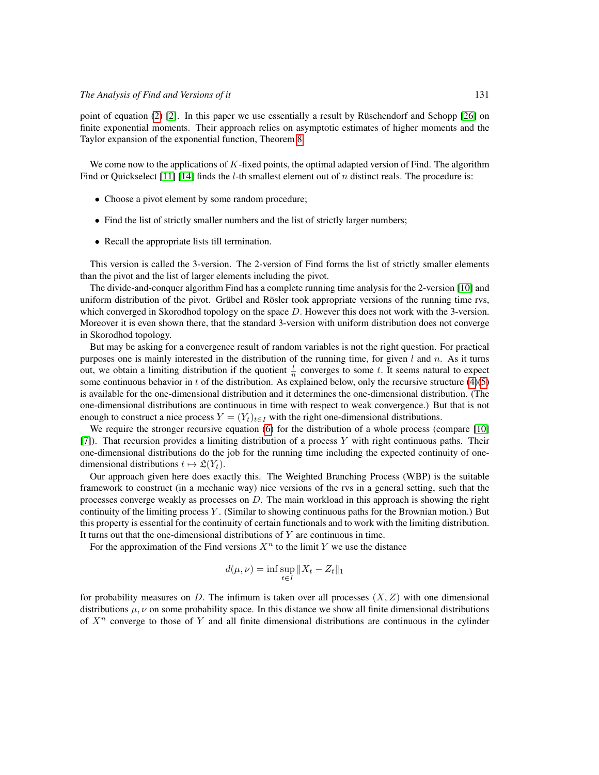point of equation  $(2)$  [\[2\]](#page-24-4). In this paper we use essentially a result by Rüschendorf and Schopp [\[26\]](#page-25-7) on finite exponential moments. Their approach relies on asymptotic estimates of higher moments and the Taylor expansion of the exponential function, Theorem [8.](#page-14-0)

We come now to the applications of  $K$ -fixed points, the optimal adapted version of Find. The algorithm Find or Quickselect [\[11\]](#page-24-5) [\[14\]](#page-25-8) finds the *l*-th smallest element out of *n* distinct reals. The procedure is:

- Choose a pivot element by some random procedure;
- Find the list of strictly smaller numbers and the list of strictly larger numbers;
- Recall the appropriate lists till termination.

This version is called the 3-version. The 2-version of Find forms the list of strictly smaller elements than the pivot and the list of larger elements including the pivot.

The divide-and-conquer algorithm Find has a complete running time analysis for the 2-version [\[10\]](#page-24-0) and uniform distribution of the pivot. Grübel and Rösler took appropriate versions of the running time rvs, which converged in Skorodhod topology on the space  $D$ . However this does not work with the 3-version. Moreover it is even shown there, that the standard 3-version with uniform distribution does not converge in Skorodhod topology.

But may be asking for a convergence result of random variables is not the right question. For practical purposes one is mainly interested in the distribution of the running time, for given  $l$  and  $n$ . As it turns out, we obtain a limiting distribution if the quotient  $\frac{l}{n}$  converges to some t. It seems natural to expect some continuous behavior in t of the distribution. As explained below, only the recursive structure  $(4)(5)$  $(4)(5)$ is available for the one-dimensional distribution and it determines the one-dimensional distribution. (The one-dimensional distributions are continuous in time with respect to weak convergence.) But that is not enough to construct a nice process  $Y = (Y_t)_{t \in I}$  with the right one-dimensional distributions.

We require the stronger recursive equation [\(6\)](#page-4-0) for the distribution of a whole process (compare [\[10\]](#page-24-0)  $[7]$ ). That recursion provides a limiting distribution of a process Y with right continuous paths. Their one-dimensional distributions do the job for the running time including the expected continuity of onedimensional distributions  $t \mapsto \mathfrak{L}(Y_t)$ .

Our approach given here does exactly this. The Weighted Branching Process (WBP) is the suitable framework to construct (in a mechanic way) nice versions of the rvs in a general setting, such that the processes converge weakly as processes on  $D$ . The main workload in this approach is showing the right continuity of the limiting process  $Y$ . (Similar to showing continuous paths for the Brownian motion.) But this property is essential for the continuity of certain functionals and to work with the limiting distribution. It turns out that the one-dimensional distributions of  $Y$  are continuous in time.

For the approximation of the Find versions  $X^n$  to the limit Y we use the distance

$$
d(\mu, \nu) = \inf \sup_{t \in I} \|X_t - Z_t\|_1
$$

for probability measures on D. The infimum is taken over all processes  $(X, Z)$  with one dimensional distributions  $\mu, \nu$  on some probability space. In this distance we show all finite dimensional distributions of  $X^n$  converge to those of Y and all finite dimensional distributions are continuous in the cylinder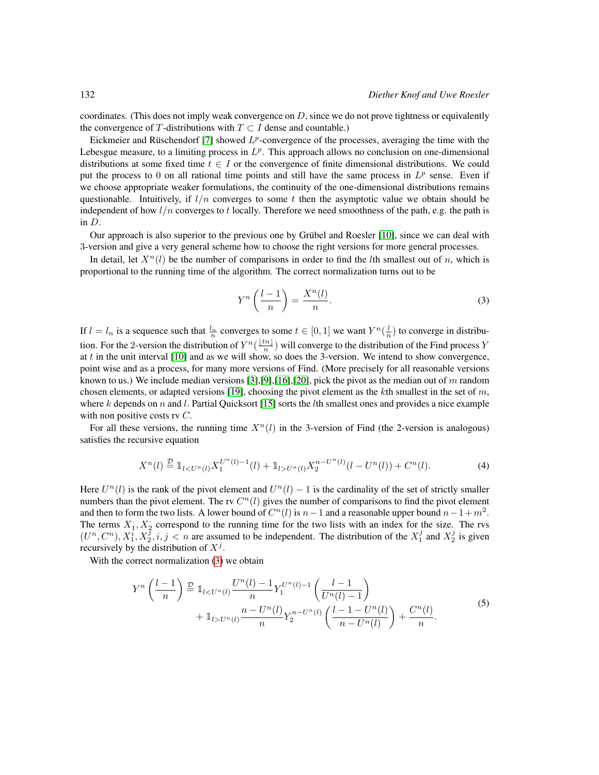coordinates. (This does not imply weak convergence on  $D$ , since we do not prove tightness or equivalently the convergence of T-distributions with  $T \subset I$  dense and countable.)

Eickmeier and Rüschendorf [\[7\]](#page-24-6) showed  $L^p$ -convergence of the processes, averaging the time with the Lebesgue measure, to a limiting process in  $L^p$ . This approach allows no conclusion on one-dimensional distributions at some fixed time  $t \in I$  or the convergence of finite dimensional distributions. We could put the process to 0 on all rational time points and still have the same process in  $L^p$  sense. Even if we choose appropriate weaker formulations, the continuity of the one-dimensional distributions remains questionable. Intuitively, if  $l/n$  converges to some t then the asymptotic value we obtain should be independent of how  $l/n$  converges to t locally. Therefore we need smoothness of the path, e.g. the path is in D.

Our approach is also superior to the previous one by Grübel and Roesler [\[10\]](#page-24-0), since we can deal with 3-version and give a very general scheme how to choose the right versions for more general processes.

In detail, let  $X^n(l)$  be the number of comparisons in order to find the *l*th smallest out of n, which is proportional to the running time of the algorithm. The correct normalization turns out to be

<span id="page-3-2"></span>
$$
Y^n \left( \frac{l-1}{n} \right) = \frac{X^n(l)}{n}.
$$
 (3)

If  $l = l_n$  is a sequence such that  $\frac{l_n}{n}$  converges to some  $t \in [0, 1]$  we want  $Y^n(\frac{l}{n})$  to converge in distribution. For the 2-version the distribution of  $Y^n(\frac{\lfloor tn\rfloor}{n})$  $\frac{n}{n}$ ) will converge to the distribution of the Find process Y at  $t$  in the unit interval  $[10]$  and as we will show, so does the 3-version. We intend to show convergence, point wise and as a process, for many more versions of Find. (More precisely for all reasonable versions known to us.) We include median versions [\[3\]](#page-24-7), [\[9\]](#page-24-8), [\[16\]](#page-25-9), [\[20\]](#page-25-10), pick the pivot as the median out of m random chosen elements, or adapted versions [\[19\]](#page-25-11), choosing the pivot element as the kth smallest in the set of m, where k depends on n and l. Partial Quicksort [\[15\]](#page-25-12) sorts the lth smallest ones and provides a nice example with non positive costs rv C.

For all these versions, the running time  $X<sup>n</sup>(l)$  in the 3-version of Find (the 2-version is analogous) satisfies the recursive equation

<span id="page-3-0"></span>
$$
X^{n}(l) \stackrel{\mathcal{D}}{=} \mathbb{1}_{l < U^{n}(l)} X_1^{U^{n}(l)-1}(l) + \mathbb{1}_{l > U^{n}(l)} X_2^{n-U^{n}(l)}(l-U^{n}(l)) + C^{n}(l). \tag{4}
$$

Here  $U^{n}(l)$  is the rank of the pivot element and  $U^{n}(l) - 1$  is the cardinality of the set of strictly smaller numbers than the pivot element. The rv  $C<sup>n</sup>(l)$  gives the number of comparisons to find the pivot element and then to form the two lists. A lower bound of  $C<sup>n</sup>(l)$  is  $n-1$  and a reasonable upper bound  $n-1+m<sup>2</sup>$ . The terms  $X_1, X_2$  correspond to the running time for the two lists with an index for the size. The rvs  $(U^n, C^n)$ ,  $X_1^i, X_2^j, i, j < n$  are assumed to be independent. The distribution of the  $X_1^j$  and  $X_2^j$  is given recursively by the distribution of  $X^j$ .

With the correct normalization [\(3\)](#page-3-2) we obtain

<span id="page-3-1"></span>
$$
Y^{n}\left(\frac{l-1}{n}\right) \stackrel{D}{=} \mathbb{1}_{l < U^{n}(l)} \frac{U^{n}(l) - 1}{n} Y_{1}^{U^{n}(l) - 1}\left(\frac{l-1}{U^{n}(l) - 1}\right) + \mathbb{1}_{l > U^{n}(l)} \frac{n - U^{n}(l)}{n} Y_{2}^{n - U^{n}(l)}\left(\frac{l-1 - U^{n}(l)}{n - U^{n}(l)}\right) + \frac{C^{n}(l)}{n}.
$$
\n
$$
(5)
$$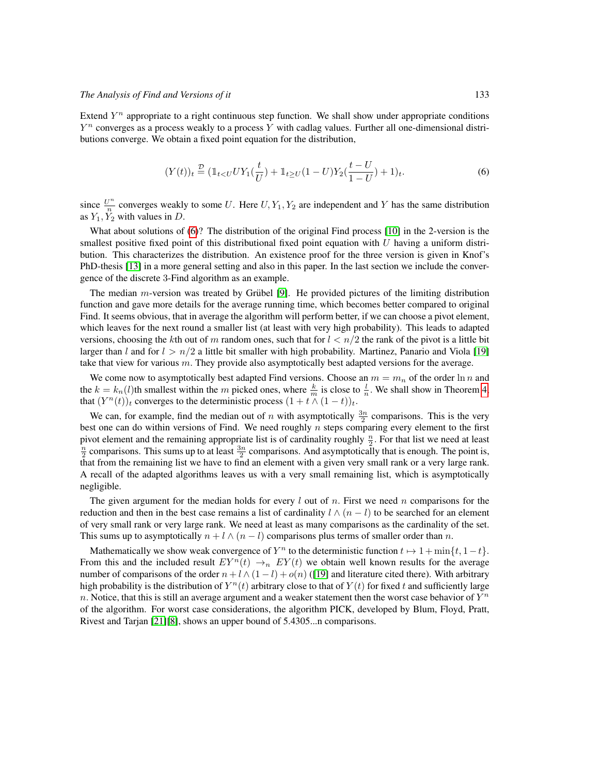Extend  $Y^n$  appropriate to a right continuous step function. We shall show under appropriate conditions  $Y^n$  converges as a process weakly to a process Y with cadlag values. Further all one-dimensional distributions converge. We obtain a fixed point equation for the distribution,

<span id="page-4-0"></span>
$$
(Y(t))_t \stackrel{\mathcal{D}}{=} (\mathbb{1}_{t < U} U Y_1(\frac{t}{U}) + \mathbb{1}_{t \ge U} (1 - U) Y_2(\frac{t - U}{1 - U}) + 1)_t.
$$
 (6)

since  $\frac{U^n}{n}$  $\frac{\partial u}{\partial n}$  converges weakly to some U. Here  $U, Y_1, Y_2$  are independent and Y has the same distribution as  $Y_1, Y_2$  with values in D.

What about solutions of [\(6\)](#page-4-0)? The distribution of the original Find process [\[10\]](#page-24-0) in the 2-version is the smallest positive fixed point of this distributional fixed point equation with  $U$  having a uniform distribution. This characterizes the distribution. An existence proof for the three version is given in Knof's PhD-thesis [\[13\]](#page-25-0) in a more general setting and also in this paper. In the last section we include the convergence of the discrete 3-Find algorithm as an example.

The median  $m$ -version was treated by Grübel [\[9\]](#page-24-8). He provided pictures of the limiting distribution function and gave more details for the average running time, which becomes better compared to original Find. It seems obvious, that in average the algorithm will perform better, if we can choose a pivot element, which leaves for the next round a smaller list (at least with very high probability). This leads to adapted versions, choosing the kth out of m random ones, such that for  $l < n/2$  the rank of the pivot is a little bit larger than l and for  $l > n/2$  a little bit smaller with high probability. Martinez, Panario and Viola [\[19\]](#page-25-11) take that view for various m. They provide also asymptotically best adapted versions for the average.

We come now to asymptotically best adapted Find versions. Choose an  $m = m_n$  of the order  $\ln n$  and the  $k = k_n(l)$ th smallest within the m picked ones, where  $\frac{k}{m}$  is close to  $\frac{l}{n}$ . We shall show in Theorem [4,](#page-10-0) that  $(Y^n(t))_t$  converges to the deterministic process  $(1 + t \wedge (1 - t))_t$ .

We can, for example, find the median out of n with asymptotically  $\frac{3n}{2}$  comparisons. This is the very best one can do within versions of Find. We need roughly  $n$  steps comparing every element to the first pivot element and the remaining appropriate list is of cardinality roughly  $\frac{n}{2}$ . For that list we need at least  $\frac{n}{2}$  comparisons. This sums up to at least  $\frac{3n}{2}$  comparisons. And asymptotically that is enough. The point is, that from the remaining list we have to find an element with a given very small rank or a very large rank. A recall of the adapted algorithms leaves us with a very small remaining list, which is asymptotically negligible.

The given argument for the median holds for every  $l$  out of  $n$ . First we need  $n$  comparisons for the reduction and then in the best case remains a list of cardinality  $l \wedge (n - l)$  to be searched for an element of very small rank or very large rank. We need at least as many comparisons as the cardinality of the set. This sums up to asymptotically  $n + l \wedge (n - l)$  comparisons plus terms of smaller order than n.

Mathematically we show weak convergence of  $Y^n$  to the deterministic function  $t \mapsto 1 + \min\{t, 1-t\}$ . From this and the included result  $EY^n(t) \rightarrow_n EY(t)$  we obtain well known results for the average number of comparisons of the order  $n + l \wedge (1 - l) + o(n)$  ([\[19\]](#page-25-11) and literature cited there). With arbitrary high probability is the distribution of  $Y^n(t)$  arbitrary close to that of  $Y(t)$  for fixed t and sufficiently large n. Notice, that this is still an average argument and a weaker statement then the worst case behavior of  $Y^n$ of the algorithm. For worst case considerations, the algorithm PICK, developed by Blum, Floyd, Pratt, Rivest and Tarjan [\[21\]](#page-25-13)[\[8\]](#page-24-9), shows an upper bound of 5.4305...n comparisons.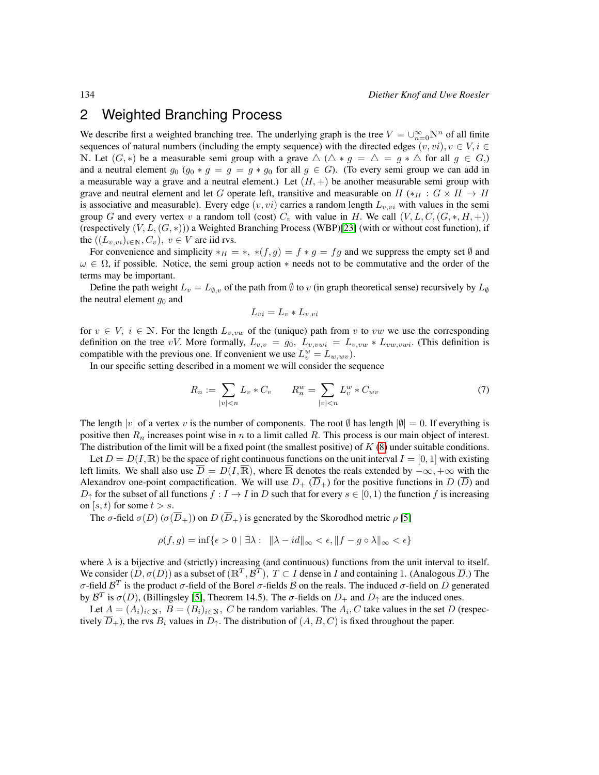# 2 Weighted Branching Process

We describe first a weighted branching tree. The underlying graph is the tree  $V = \bigcup_{n=0}^{\infty} \mathbb{N}^n$  of all finite sequences of natural numbers (including the empty sequence) with the directed edges  $(v, vi), v \in V, i \in$ N. Let  $(G, *)$  be a measurable semi group with a grave  $\triangle (\triangle * g = \triangle = g * \triangle$  for all  $g \in G,$ ) and a neutral element  $g_0$  ( $g_0 * g = g = g * g_0$  for all  $g \in G$ ). (To every semi group we can add in a measurable way a grave and a neutral element.) Let  $(H,+)$  be another measurable semi group with grave and neutral element and let G operate left, transitive and measurable on  $H$  (\* $_H : G \times H \rightarrow H$ is associative and measurable). Every edge  $(v, vi)$  carries a random length  $L_{v, vi}$  with values in the semi group G and every vertex v a random toll (cost)  $C_v$  with value in H. We call  $(V, L, C, (G, *, H, +))$ (respectively  $(V, L, (G, *)$ )) a Weighted Branching Process (WBP)[\[23\]](#page-25-4) (with or without cost function), if the  $((L_{v,vi})_{i\in\mathbb{N}}, C_v)$ ,  $v \in V$  are iid rvs.

For convenience and simplicity  $*_H = *, * (f, g) = f * g = fg$  and we suppress the empty set  $\emptyset$  and  $\omega \in \Omega$ , if possible. Notice, the semi group action \* needs not to be commutative and the order of the terms may be important.

Define the path weight  $L_v = L_{\emptyset,v}$  of the path from  $\emptyset$  to v (in graph theoretical sense) recursively by  $L_{\emptyset}$ the neutral element  $g_0$  and

$$
L_{vi} = L_v * L_{v,vi}
$$

for  $v \in V$ ,  $i \in \mathbb{N}$ . For the length  $L_{v,vw}$  of the (unique) path from v to vw we use the corresponding definition on the tree vV. More formally,  $L_{v,v} = g_0$ ,  $L_{v,vwi} = L_{v,vw} * L_{vw,vwi}$ . (This definition is compatible with the previous one. If convenient we use  $L_v^w = L_{w, wv}$ .

In our specific setting described in a moment we will consider the sequence

$$
R_n := \sum_{|v| < n} L_v * C_v \qquad R_n^w = \sum_{|v| < n} L_v^w * C_{wv} \tag{7}
$$

The length  $|v|$  of a vertex v is the number of components. The root  $\emptyset$  has length  $|\emptyset| = 0$ . If everything is positive then  $R_n$  increases point wise in n to a limit called  $R$ . This process is our main object of interest. The distribution of the limit will be a fixed point (the smallest positive) of  $K(8)$  $K(8)$  under suitable conditions.

Let  $D = D(I, \mathbb{R})$  be the space of right continuous functions on the unit interval  $I = [0, 1]$  with existing left limits. We shall also use  $\overline{D} = D(I, \overline{R})$ , where  $\overline{R}$  denotes the reals extended by  $-\infty, +\infty$  with the Alexandrov one-point compactification. We will use  $D_+$  ( $\overline{D}_+$ ) for the positive functions in D ( $\overline{D}$ ) and  $D_{\uparrow}$  for the subset of all functions  $f : I \to I$  in D such that for every  $s \in [0,1)$  the function f is increasing on [s, t] for some  $t > s$ .

The  $\sigma$ -field  $\sigma(D)$  ( $\sigma(\overline{D}_+)$ ) on  $D(\overline{D}_+)$  is generated by the Skorodhod metric  $\rho$  [\[5\]](#page-24-10)

$$
\rho(f,g) = \inf \{ \epsilon > 0 \mid \exists \lambda : \|\lambda - id\|_{\infty} < \epsilon, \|f - g \circ \lambda\|_{\infty} < \epsilon \}
$$

where  $\lambda$  is a bijective and (strictly) increasing (and continuous) functions from the unit interval to itself. We consider  $(D, \sigma(D))$  as a subset of  $(\mathbb{R}^T, \mathcal{B}^T)$ ,  $T \subset I$  dense in I and containing 1. (Analogous  $\overline{D}$ .) The σ-field  $\mathcal{B}^T$  is the product σ-field of the Borel σ-fields  $\mathcal B$  on the reals. The induced σ-field on D generated by  $\mathcal{B}^T$  is  $\sigma(D)$ , (Billingsley [\[5\]](#page-24-10), Theorem 14.5). The  $\sigma$ -fields on  $D_+$  and  $D_{\uparrow}$  are the induced ones.

Let  $A = (A_i)_{i \in \mathbb{N}}, B = (B_i)_{i \in \mathbb{N}}, C$  be random variables. The  $A_i, C$  take values in the set D (respectively  $\overline{D}_{+}$ ), the rvs  $B_i$  values in  $D_{\uparrow}$ . The distribution of  $(A, B, C)$  is fixed throughout the paper.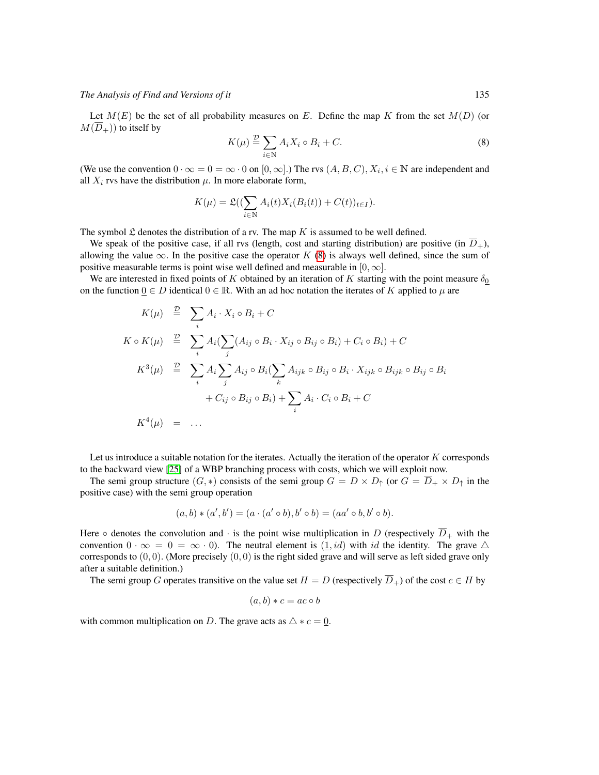Let  $M(E)$  be the set of all probability measures on E. Define the map K from the set  $M(D)$  (or  $M(\overline{D}_{+})$  to itself by

<span id="page-6-0"></span>
$$
K(\mu) \stackrel{\mathcal{D}}{=} \sum_{i \in \mathbb{N}} A_i X_i \circ B_i + C. \tag{8}
$$

(We use the convention  $0 \cdot \infty = 0 = \infty \cdot 0$  on  $[0, \infty]$ .) The rvs  $(A, B, C), X_i, i \in \mathbb{N}$  are independent and all  $X_i$  rvs have the distribution  $\mu$ . In more elaborate form,

$$
K(\mu) = \mathfrak{L}((\sum_{i \in \mathbb{N}} A_i(t)X_i(B_i(t)) + C(t))_{t \in I}).
$$

The symbol  $\mathfrak L$  denotes the distribution of a rv. The map K is assumed to be well defined.

We speak of the positive case, if all rvs (length, cost and starting distribution) are positive (in  $\overline{D}_+$ ), allowing the value  $\infty$ . In the positive case the operator K [\(8\)](#page-6-0) is always well defined, since the sum of positive measurable terms is point wise well defined and measurable in  $[0, \infty]$ .

We are interested in fixed points of K obtained by an iteration of K starting with the point measure  $\delta_0$ on the function  $0 \in D$  identical  $0 \in \mathbb{R}$ . With an ad hoc notation the iterates of K applied to  $\mu$  are

$$
K(\mu) \stackrel{\mathcal{D}}{=} \sum_{i} A_i \cdot X_i \circ B_i + C
$$
  
\n
$$
K \circ K(\mu) \stackrel{\mathcal{D}}{=} \sum_{i} A_i (\sum_{j} (A_{ij} \circ B_i \cdot X_{ij} \circ B_{ij} \circ B_i) + C_i \circ B_i) + C
$$
  
\n
$$
K^3(\mu) \stackrel{\mathcal{D}}{=} \sum_{i} A_i \sum_{j} A_{ij} \circ B_i (\sum_{k} A_{ijk} \circ B_{ij} \circ B_i \cdot X_{ijk} \circ B_{ijk} \circ B_{ij} \circ B_i + C_{ij} \circ B_{ij} \circ B_i) + \sum_{i} A_i \cdot C_i \circ B_i + C
$$
  
\n
$$
K^4(\mu) = \dots
$$

Let us introduce a suitable notation for the iterates. Actually the iteration of the operator  $K$  corresponds to the backward view [\[25\]](#page-25-5) of a WBP branching process with costs, which we will exploit now.

The semi group structure  $(G, *)$  consists of the semi group  $G = D \times D_{\uparrow}$  (or  $G = \overline{D}_{+} \times D_{\uparrow}$  in the positive case) with the semi group operation

$$
(a, b) * (a', b') = (a \cdot (a' \circ b), b' \circ b) = (aa' \circ b, b' \circ b).
$$

Here  $\circ$  denotes the convolution and  $\cdot$  is the point wise multiplication in D (respectively  $\overline{D}_+$  with the convention  $0 \cdot \infty = 0 = \infty \cdot 0$ . The neutral element is  $(1, id)$  with id the identity. The grave  $\triangle$ corresponds to  $(0, 0)$ . (More precisely  $(0, 0)$  is the right sided grave and will serve as left sided grave only after a suitable definition.)

The semi group G operates transitive on the value set  $H = D$  (respectively  $\overline{D}_+$ ) of the cost  $c \in H$  by

$$
(a, b) * c = ac \circ b
$$

with common multiplication on D. The grave acts as  $\triangle * c = 0$ .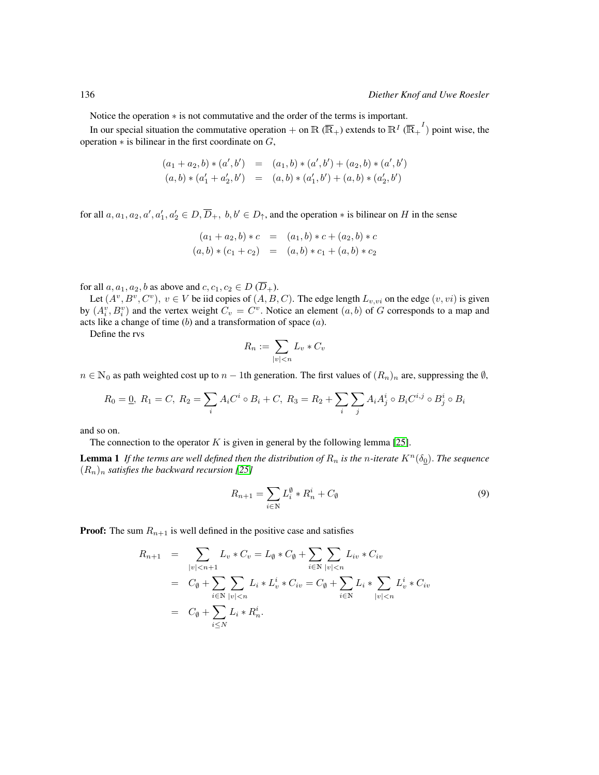Notice the operation ∗ is not commutative and the order of the terms is important.

In our special situation the commutative operation + on  $\mathbb{R}(\overline{\mathbb{R}}_+)$  extends to  $\mathbb{R}^I(\overline{\mathbb{R}}_+^I)$  point wise, the operation  $*$  is bilinear in the first coordinate on  $G$ ,

$$
(a_1 + a_2, b) * (a', b') = (a_1, b) * (a', b') + (a_2, b) * (a', b')
$$
  

$$
(a, b) * (a'_1 + a'_2, b') = (a, b) * (a'_1, b') + (a, b) * (a'_2, b')
$$

for all  $a, a_1, a_2, a', a'_1, a'_2 \in D, \overline{D}_+, b, b' \in D_{\uparrow}$ , and the operation  $*$  is bilinear on H in the sense

$$
(a_1 + a_2, b) * c = (a_1, b) * c + (a_2, b) * c
$$
  

$$
(a, b) * (c_1 + c_2) = (a, b) * c_1 + (a, b) * c_2
$$

for all  $a, a_1, a_2, b$  as above and  $c, c_1, c_2 \in D(\overline{D}_+).$ 

Let  $(A^v, B^v, C^v)$ ,  $v \in V$  be iid copies of  $(A, B, C)$ . The edge length  $L_{v,vi}$  on the edge  $(v, vi)$  is given by  $(A_i^v, B_i^v)$  and the vertex weight  $C_v = C^v$ . Notice an element  $(a, b)$  of G corresponds to a map and acts like a change of time  $(b)$  and a transformation of space  $(a)$ .

Define the rvs

$$
R_n := \sum_{|v| < n} L_v * C_v
$$

 $n \in \mathbb{N}_0$  as path weighted cost up to  $n-1$ th generation. The first values of  $(R_n)_n$  are, suppressing the  $\emptyset$ ,

$$
R_0 = \underline{0}, R_1 = C, R_2 = \sum_i A_i C^i \circ B_i + C, R_3 = R_2 + \sum_i \sum_j A_i A_j^i \circ B_i C^{i,j} \circ B_j^i \circ B_i
$$

and so on.

The connection to the operator  $K$  is given in general by the following lemma [\[25\]](#page-25-5).

**Lemma 1** *If the terms are well defined then the distribution of*  $R_n$  *is the n-iterate*  $K^n(\delta_0)$ *. The sequence*  $(R_n)_n$  *satisfies the backward recursion* [\[25\]](#page-25-5)

<span id="page-7-1"></span><span id="page-7-0"></span>
$$
R_{n+1} = \sum_{i \in \mathbb{N}} L_i^{\emptyset} * R_n^i + C_{\emptyset}
$$
\n
$$
(9)
$$

**Proof:** The sum  $R_{n+1}$  is well defined in the positive case and satisfies

$$
R_{n+1} = \sum_{|v| < n+1} L_v * C_v = L_\emptyset * C_\emptyset + \sum_{i \in \mathbb{N}} \sum_{|v| < n} L_{iv} * C_{iv}
$$
\n
$$
= C_\emptyset + \sum_{i \in \mathbb{N}} \sum_{|v| < n} L_i * L_v^i * C_{iv} = C_\emptyset + \sum_{i \in \mathbb{N}} L_i * \sum_{|v| < n} L_v^i * C_{iv}
$$
\n
$$
= C_\emptyset + \sum_{i \le N} L_i * R_n^i.
$$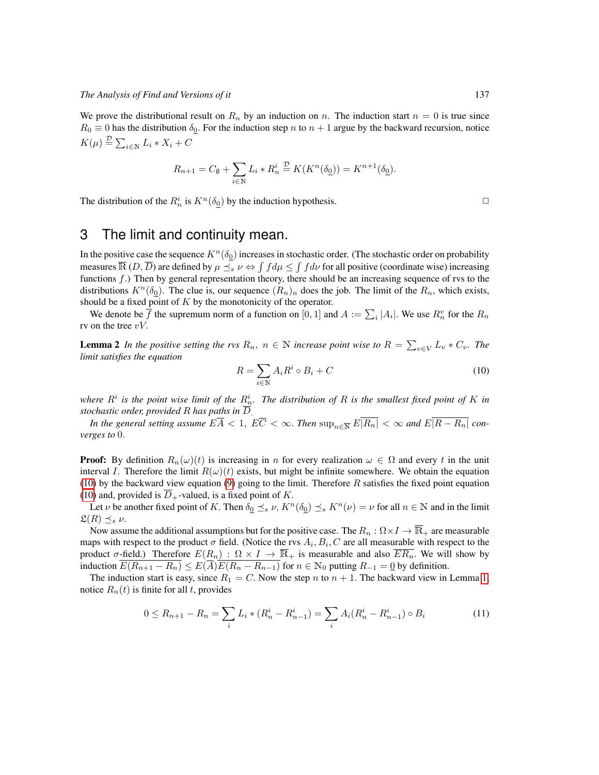We prove the distributional result on  $R_n$  by an induction on n. The induction start  $n = 0$  is true since  $R_0 \equiv 0$  has the distribution  $\delta_{\Omega}$ . For the induction step n to  $n + 1$  argue by the backward recursion, notice  $K(\mu) \stackrel{\mathcal{D}}{=} \sum_{i \in \mathbb{N}} L_i * X_i + C$ 

$$
R_{n+1}=C_{\emptyset}+\sum_{i\in\mathbb{N}}L_i\ast R_n^i\stackrel{\mathcal{D}}{=}K(K^n(\delta_{\underline{0}}))=K^{n+1}(\delta_{\underline{0}}).
$$

The distribution of the  $R_n^i$  is  $K^n(\delta_0)$  by the induction hypothesis.

# 3 The limit and continuity mean.

In the positive case the sequence  $K^n(\delta_0)$  increases in stochastic order. (The stochastic order on probability measures  $\overline{\mathbb{R}}(D,\overline{D})$  are defined by  $\mu\preceq_s\nu \Leftrightarrow \int fd\mu\leq\int fd\nu$  for all positive (coordinate wise) increasing functions  $f$ .) Then by general representation theory, there should be an increasing sequence of rvs to the distributions  $K^n(\delta_0)$ . The clue is, our sequence  $(R_n)_n$  does the job. The limit of the  $R_n$ , which exists, should be a fixed point of  $K$  by the monotonicity of the operator.

We denote be  $\overline{f}$  the supremum norm of a function on  $[0,1]$  and  $A := \sum_i |A_i|$ . We use  $R_n^v$  for the  $R_n$ rv on the tree  $vV$ .

**Lemma 2** In the positive setting the rvs  $R_n$ ,  $n \in \mathbb{N}$  increase point wise to  $R = \sum_{v \in V} L_v * C_v$ . The *limit satisfies the equation*

<span id="page-8-0"></span>
$$
R = \sum_{i \in \mathbb{N}} A_i R^i \circ B_i + C \tag{10}
$$

where  $R^i$  is the point wise limit of the  $R^i_n$ . The distribution of R is the smallest fixed point of K in *stochastic order, provided* R *has paths in* D.

*In the general setting assume*  $E\overline{A} < 1$ ,  $E\overline{C} < \infty$ . *Then*  $\sup_{n \in \overline{N}} E|\overline{R_n}| < \infty$  and  $E|\overline{R - R_n}|$  con*verges to* 0.

**Proof:** By definition  $R_n(\omega)(t)$  is increasing in n for every realization  $\omega \in \Omega$  and every t in the unit interval I. Therefore the limit  $R(\omega)(t)$  exists, but might be infinite somewhere. We obtain the equation [\(10\)](#page-8-0) by the backward view equation [\(9\)](#page-7-0) going to the limit. Therefore  $R$  satisfies the fixed point equation [\(10\)](#page-8-0) and, provided is  $\overline{D}_+$ -valued, is a fixed point of K.

Let  $\nu$  be another fixed point of K. Then  $\delta_0 \leq_s \nu$ ,  $K^n(\delta_0) \leq_s K^n(\nu) = \nu$  for all  $n \in \mathbb{N}$  and in the limit  $\mathfrak{L}(R) \preceq_s \nu$ .

Now assume the additional assumptions but for the positive case. The  $R_n : \Omega \times I \to \overline{\mathbb{R}}_+$  are measurable maps with respect to the product  $\sigma$  field. (Notice the rvs  $A_i, B_i, C$  are all measurable with respect to the product  $\sigma$ -field.) Therefore  $E(R_n) : \Omega \times I \to \overline{\mathbb{R}}_+$  is measurable and also  $\overline{ER_n}$ . We will show by induction  $E(R_{n+1} - R_n) \leq E(\overline{A}) \overline{E(R_n - R_{n-1})}$  for  $n \in \mathbb{N}_0$  putting  $R_{-1} = 0$  by definition.

The induction start is easy, since  $R_1 = C$ . Now the step n to  $n + 1$ . The backward view in Lemma [1,](#page-7-1) notice  $R_n(t)$  is finite for all t, provides

$$
0 \le R_{n+1} - R_n = \sum_i L_i * (R_n^i - R_{n-1}^i) = \sum_i A_i (R_n^i - R_{n-1}^i) \circ B_i \tag{11}
$$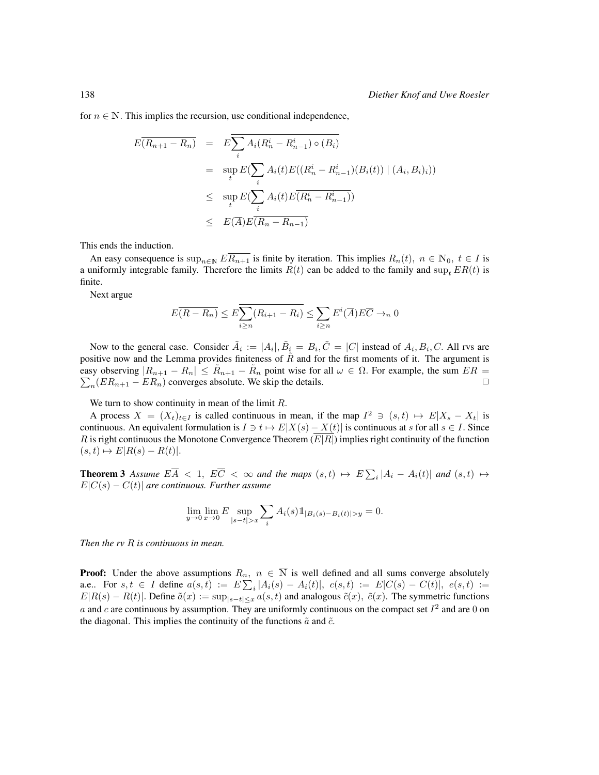for  $n \in \mathbb{N}$ . This implies the recursion, use conditional independence,

$$
E(R_{n+1} - R_n) = E\sum_{i} A_i (R_n^i - R_{n-1}^i) \circ (B_i)
$$
  
= 
$$
\sup_{t} E(\sum_{i} A_i(t) E((R_n^i - R_{n-1}^i)(B_i(t)) | (A_i, B_i)_i))
$$
  

$$
\leq \sup_{t} E(\sum_{i} A_i(t) E(R_n^i - R_{n-1}^i))
$$
  

$$
\leq E(\overline{A}) E(R_n - R_{n-1})
$$

This ends the induction.

An easy consequence is  $\sup_{n\in\mathbb{N}} E\overline{R_{n+1}}$  is finite by iteration. This implies  $R_n(t)$ ,  $n \in \mathbb{N}_0$ ,  $t \in I$  is a uniformly integrable family. Therefore the limits  $R(t)$  can be added to the family and sup,  $ER(t)$  is finite.

Next argue

$$
E(\overline{R - R_n}) \le E \sum_{i \ge n} (R_{i+1} - R_i) \le \sum_{i \ge n} E^i(\overline{A}) E \overline{C} \to_n 0
$$

Now to the general case. Consider  $\tilde{A}_i := |A_i|, \tilde{B}_i = B_i, \tilde{C} = |C|$  instead of  $A_i, B_i, C$ . All rvs are positive now and the Lemma provides finiteness of  $\tilde{R}$  and for the first moments of it. The argument is easy observing  $|R_{n+1} - R_n| \leq R_{n+1} - R_n$  point wise for all  $\omega \in \Omega$ . For example, the sum  $ER = \sum_n (ER_{n+1} - ER_n)$  converges absolute. We skip the details.  $n_n(ER_{n+1} - ER_n)$  converges absolute. We skip the details.

We turn to show continuity in mean of the limit  $R$ .

A process  $X = (X_t)_{t \in I}$  is called continuous in mean, if the map  $I^2 \ni (s, t) \mapsto E|X_s - X_t|$  is continuous. An equivalent formulation is  $I \ni t \mapsto E|X(s) - X(t)|$  is continuous at s for all  $s \in I$ . Since R is right continuous the Monotone Convergence Theorem  $(E|R|)$  implies right continuity of the function  $(s, t) \mapsto E[R(s) - R(t)].$ 

<span id="page-9-0"></span>**Theorem 3** Assume  $E\overline{A}$  < 1,  $E\overline{C}$  <  $\infty$  and the maps  $(s,t) \mapsto E\sum_i |A_i - A_i(t)|$  and  $(s,t) \mapsto$  $E|C(s) - C(t)|$  are continuous. Further assume

$$
\lim_{y \to 0} \lim_{x \to 0} E \sup_{|s-t| > x} \sum_{i} A_i(s) \mathbb{1}_{|B_i(s) - B_i(t)| > y} = 0.
$$

*Then the rv* R *is continuous in mean.*

**Proof:** Under the above assumptions  $R_n$ ,  $n \in \overline{N}$  is well defined and all sums converge absolutely a.e.. For  $s, t \in I$  define  $a(s,t) := E \sum_i |A_i(s) - A_i(t)|$ ,  $c(s,t) := E|C(s) - C(t)|$ ,  $e(s,t) :=$  $E|R(s) - R(t)|$ . Define  $\tilde{a}(x) := \sup_{|s-t| \leq x} a(s,t)$  and analogous  $\tilde{c}(x)$ ,  $\tilde{e}(x)$ . The symmetric functions a and c are continuous by assumption. They are uniformly continuous on the compact set  $I^2$  and are 0 on the diagonal. This implies the continuity of the functions  $\tilde{a}$  and  $\tilde{c}$ .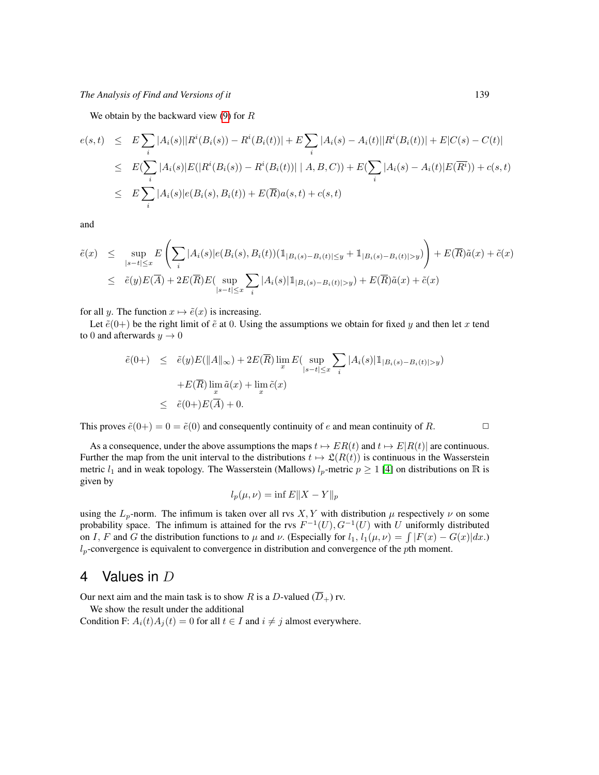We obtain by the backward view  $(9)$  for R

$$
e(s,t) \leq E \sum_{i} |A_i(s)| |R^i(B_i(s)) - R^i(B_i(t))| + E \sum_{i} |A_i(s) - A_i(t)| |R^i(B_i(t))| + E|C(s) - C(t)|
$$
  
\n
$$
\leq E(\sum_{i} |A_i(s)| E(|R^i(B_i(s)) - R^i(B_i(t))| | A, B, C)) + E(\sum_{i} |A_i(s) - A_i(t)| E(\overline{R^i})) + c(s,t)
$$
  
\n
$$
\leq E \sum_{i} |A_i(s)| e(B_i(s), B_i(t)) + E(\overline{R}) a(s,t) + c(s,t)
$$

and

$$
\tilde{e}(x) \leq \sup_{|s-t| \leq x} E\left(\sum_{i} |A_i(s)| e(B_i(s), B_i(t)) (\mathbb{1}_{|B_i(s) - B_i(t)| \leq y} + \mathbb{1}_{|B_i(s) - B_i(t)| > y})\right) + E(\overline{R}) \tilde{a}(x) + \tilde{c}(x)
$$
\n
$$
\leq \tilde{e}(y) E(\overline{A}) + 2E(\overline{R}) E(\sup_{|s-t| \leq x} \sum_{i} |A_i(s)| \mathbb{1}_{|B_i(s) - B_i(t)| > y}) + E(\overline{R}) \tilde{a}(x) + \tilde{c}(x)
$$

for all y. The function  $x \mapsto \tilde{e}(x)$  is increasing.

Let  $\tilde{e}(0+)$  be the right limit of  $\tilde{e}$  at 0. Using the assumptions we obtain for fixed y and then let x tend to 0 and afterwards  $y \to 0$ 

$$
\tilde{e}(0+) \leq \tilde{e}(y)E(||A||_{\infty}) + 2E(\overline{R})\lim_{x} E\left(\sup_{|s-t| \leq x} \sum_{i} |A_i(s)| 1_{|B_i(s) - B_i(t)| > y}\right)
$$

$$
+ E(\overline{R})\lim_{x} \tilde{a}(x) + \lim_{x} \tilde{c}(x)
$$

$$
\leq \tilde{e}(0+)E(\overline{A}) + 0.
$$

This proves  $\tilde{e}(0+) = 0 = \tilde{e}(0)$  and consequently continuity of e and mean continuity of R.

As a consequence, under the above assumptions the maps  $t \mapsto ER(t)$  and  $t \mapsto E|R(t)|$  are continuous. Further the map from the unit interval to the distributions  $t \mapsto \mathfrak{L}(R(t))$  is continuous in the Wasserstein metric  $l_1$  and in weak topology. The Wasserstein (Mallows)  $l_p$ -metric  $p \ge 1$  [\[4\]](#page-24-11) on distributions on R is given by

$$
l_p(\mu, \nu) = \inf E\|X - Y\|_p
$$

using the  $L_p$ -norm. The infimum is taken over all rvs  $X, Y$  with distribution  $\mu$  respectively  $\nu$  on some probability space. The infimum is attained for the rvs  $F^{-1}(U)$ ,  $G^{-1}(U)$  with U uniformly distributed on I, F and G the distribution functions to  $\mu$  and  $\nu$ . (Especially for  $l_1$ ,  $l_1(\mu, \nu) = \int |F(x) - G(x)| dx$ .)  $l_p$ -convergence is equivalent to convergence in distribution and convergence of the pth moment.

# 4 Values in D

Our next aim and the main task is to show R is a D-valued  $(\overline{D}_{+})$  rv.

We show the result under the additional

<span id="page-10-0"></span>Condition F:  $A_i(t)A_j(t) = 0$  for all  $t \in I$  and  $i \neq j$  almost everywhere.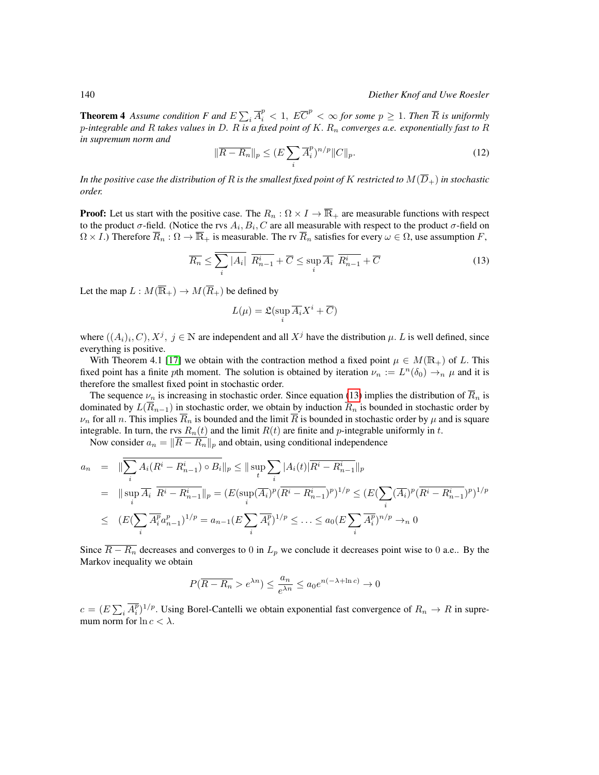**Theorem 4** Assume condition F and  $E\sum_i \overline{A}_i^p < 1$ ,  $E\overline{C}^p < \infty$  for some  $p \ge 1$ . Then  $\overline{R}$  is uniformly p*-integrable and* R *takes values in* D*.* R *is a fixed point of* K. R<sup>n</sup> *converges a.e. exponentially fast to* R *in supremum norm and*

$$
\|\overline{R - R_n}\|_p \le (E \sum_i \overline{A}_i^p)^{n/p} \|C\|_p. \tag{12}
$$

In the positive case the distribution of R is the smallest fixed point of K restricted to  $M(\overline{D}_{+})$  in stochastic *order.*

**Proof:** Let us start with the positive case. The  $R_n$ :  $\Omega \times I \to \overline{\mathbb{R}}_+$  are measurable functions with respect to the product  $\sigma$ -field. (Notice the rvs  $A_i, B_i, C$  are all measurable with respect to the product  $\sigma$ -field on  $\Omega \times I$ .) Therefore  $\overline{R}_n : \Omega \to \overline{\mathbb{R}}_+$  is measurable. The rv  $\overline{R}_n$  satisfies for every  $\omega \in \Omega$ , use assumption F,

$$
\overline{R_n} \le \sum_i |A_i| \overline{R_{n-1}^i} + \overline{C} \le \sup_i \overline{A_i} \overline{R_{n-1}^i} + \overline{C}
$$
\n(13)

Let the map  $L: M(\overline{\mathbb{R}}_+) \to M(\overline{R}_+)$  be defined by

<span id="page-11-0"></span>
$$
L(\mu) = \mathfrak{L}(\sup_i \overline{A_i} X^i + \overline{C})
$$

where  $((A_i)_i, C), X^j, j \in \mathbb{N}$  are independent and all  $X^j$  have the distribution  $\mu$ . L is well defined, since everything is positive.

With Theorem 4.1 [\[17\]](#page-25-3) we obtain with the contraction method a fixed point  $\mu \in M(\mathbb{R}_+)$  of L. This fixed point has a finite pth moment. The solution is obtained by iteration  $\nu_n := L^n(\delta_0) \to_n \mu$  and it is therefore the smallest fixed point in stochastic order.

The sequence  $\nu_n$  is increasing in stochastic order. Since equation [\(13\)](#page-11-0) implies the distribution of  $\overline{R}_n$  is dominated by  $L(\overline{R}_{n-1})$  in stochastic order, we obtain by induction  $\overline{R}_n$  is bounded in stochastic order by  $\nu_n$  for all n. This implies  $\overline{R}_n$  is bounded and the limit  $\overline{R}$  is bounded in stochastic order by  $\mu$  and is square integrable. In turn, the rvs  $R_n(t)$  and the limit  $R(t)$  are finite and p-integrable uniformly in t.

Now consider  $a_n = \frac{\|R - R_n\|_p}{\|R - R_n\|_p}$  and obtain, using conditional independence

$$
a_n = \|\sum_{i} A_i (R^i - R^i_{n-1}) \circ B_i\|_p \le \|\sup_t \sum_{i} |A_i(t)| \overline{R^i - R^i_{n-1}}\|_p
$$
  
\n
$$
= \|\sup_i \overline{A_i} \ \overline{R^i - R^i_{n-1}}\|_p = (E(\sup_i (\overline{A_i})^p (\overline{R^i - R^i_{n-1}})^p)^{1/p} \le (E(\sum_i (\overline{A_i})^p (\overline{R^i - R^i_{n-1}})^p)^{1/p}
$$
  
\n
$$
\le (E(\sum_i \overline{A_i^p} a_{n-1}^p)^{1/p} = a_{n-1} (E \sum_i \overline{A_i^p})^{1/p} \le \dots \le a_0 (E \sum_i \overline{A_i^p})^{n/p} \to_n 0
$$

Since  $\overline{R - R_n}$  decreases and converges to 0 in  $L_p$  we conclude it decreases point wise to 0 a.e.. By the Markov inequality we obtain

$$
P(\overline{R - R_n} > e^{\lambda n}) \le \frac{a_n}{e^{\lambda n}} \le a_0 e^{n(-\lambda + \ln c)} \to 0
$$

 $c = (E \sum_i \overline{A_i^p})^{1/p}$ . Using Borel-Cantelli we obtain exponential fast convergence of  $R_n \to R$  in supremum norm for  $\ln c < \lambda$ .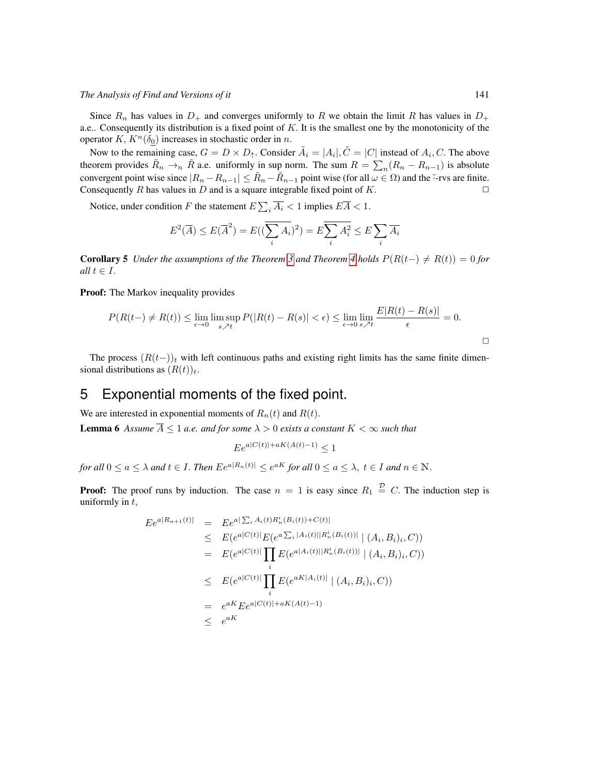Since  $R_n$  has values in  $D_+$  and converges uniformly to R we obtain the limit R has values in  $D_+$ a.e.. Consequently its distribution is a fixed point of  $K$ . It is the smallest one by the monotonicity of the operator K,  $K^n(\delta_0)$  increases in stochastic order in n.

Now to the remaining case,  $G = D \times D_{\uparrow}$ . Consider  $\tilde{A}_i = |A_i|, \tilde{C} = |C|$  instead of  $A_i, C$ . The above theorem provides  $\tilde{R}_n \to_n \tilde{R}$  a.e. uniformly in sup norm. The sum  $R = \sum_n (R_n - R_{n-1})$  is absolute convergent point wise since  $|R_n - R_{n-1}| \leq \tilde{R}_n - \tilde{R}_{n-1}$  point wise (for all  $\omega \in \Omega$ ) and the  $\tilde{\cdot}$ -rvs are finite. Consequently R has values in D and is a square integrable fixed point of K.  $\Box$ 

Notice, under condition F the statement  $E\sum_i \overline{A_i} < 1$  implies  $E\overline{A} < 1$ .

$$
E^{2}(\overline{A}) \leq E(\overline{A}^{2}) = E((\overline{\sum_{i} A_{i}})^{2}) = E\overline{\sum_{i} A_{i}^{2}} \leq E\sum_{i} \overline{A_{i}}
$$

**Corollary 5** *Under the assumptions of the Theorem [3](#page-9-0) and Theorem [4](#page-10-0) holds*  $P(R(t-)) \neq R(t) = 0$  *for all*  $t \in I$ .

Proof: The Markov inequality provides

$$
P(R(t-)\neq R(t)) \leq \lim_{\epsilon \to 0} \limsup_{s \nearrow t} P(|R(t) - R(s)| < \epsilon) \leq \lim_{\epsilon \to 0} \lim_{s \nearrow t} \frac{E|R(t) - R(s)|}{\epsilon} = 0.
$$

The process  $(R(t-))_t$  with left continuous paths and existing right limits has the same finite dimensional distributions as  $(R(t))_t$ .

# 5 Exponential moments of the fixed point.

We are interested in exponential moments of  $R_n(t)$  and  $R(t)$ .

**Lemma 6** Assume  $\overline{A} \leq 1$  a.e. and for some  $\lambda > 0$  exists a constant  $K < \infty$  such that

<span id="page-12-0"></span> $Ee^{a|C(t)|+aK(A(t)-1)} < 1$ 

*for all*  $0 \le a \le \lambda$  *and*  $t \in I$ . *Then*  $Ee^{a|R_n(t)|} \le e^{aK}$  *for all*  $0 \le a \le \lambda$ ,  $t \in I$  *and*  $n \in \mathbb{N}$ .

**Proof:** The proof runs by induction. The case  $n = 1$  is easy since  $R_1 \stackrel{\mathcal{D}}{=} C$ . The induction step is uniformly in  $t$ ,

$$
E e^{a|R_{n+1}(t)|} = E e^{a|\sum_{i} A_{i}(t)R_{n}^{i}(B_{i}(t)) + C(t)|}
$$
  
\n
$$
\leq E(e^{a|C(t)|}E(e^{a\sum_{i} |A_{i}(t)||R_{n}^{i}(B_{i}(t))|} | (A_{i}, B_{i})_{i}, C))
$$
  
\n
$$
= E(e^{a|C(t)|} \prod_{i} E(e^{a|A_{i}(t)||R_{n}^{i}(B_{i}(t))|} | (A_{i}, B_{i})_{i}, C))
$$
  
\n
$$
\leq E(e^{a|C(t)|} \prod_{i} E(e^{a|A_{i}(t)|} | (A_{i}, B_{i})_{i}, C))
$$
  
\n
$$
= e^{aK} E e^{a|C(t)| + aK(A(t) - 1)}
$$
  
\n
$$
\leq e^{aK}
$$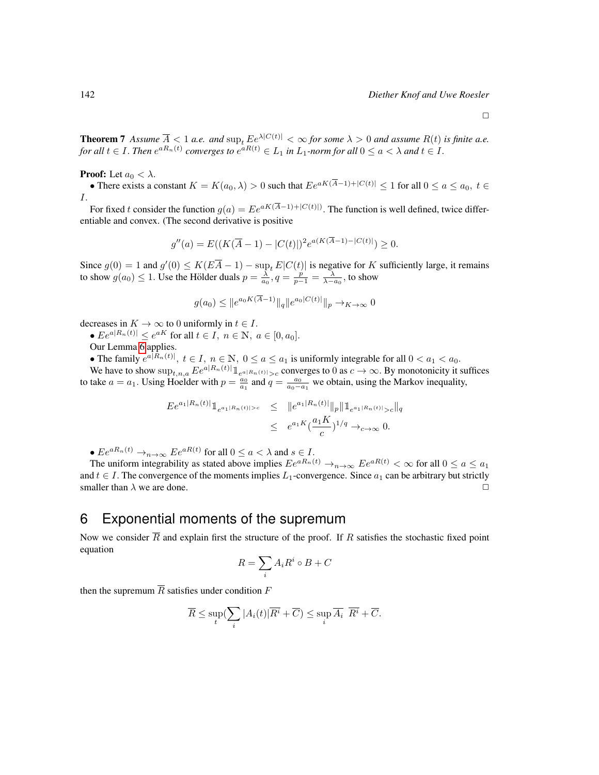$\Box$ 

**Theorem 7** Assume  $\overline{A} \leq 1$  *a.e.* and  $\sup_t Ee^{\lambda |C(t)|} < \infty$  for some  $\lambda > 0$  and assume  $R(t)$  is finite a.e. for all  $t \in I$ . Then  $e^{aR_n(t)}$  converges to  $e^{aR(t)} \in L_1$  in  $L_1$ -norm for all  $0 \le a < \lambda$  and  $t \in I$ .

**Proof:** Let  $a_0 < \lambda$ .

• There exists a constant  $K = K(a_0, \lambda) > 0$  such that  $E e^{aK(\overline{A}-1) + |C(t)|} \le 1$  for all  $0 \le a \le a_0, t \in$ I.

For fixed t consider the function  $g(a) = E e^{aK(A-1) + |C(t)|}$ . The function is well defined, twice differentiable and convex. (The second derivative is positive

$$
g''(a) = E((K(\overline{A}-1) - |C(t)|)^{2} e^{a(K(\overline{A}-1) - |C(t)|)}) \ge 0.
$$

Since  $g(0) = 1$  and  $g'(0) \leq K(E\overline{A} - 1) - \sup_t E|C(t)|$  is negative for K sufficiently large, it remains to show  $g(a_0) \le 1$ . Use the Hölder duals  $p = \frac{\lambda}{a_0}$ ,  $q = \frac{p}{p-1} = \frac{\lambda}{\lambda - a_0}$ , to show

$$
g(a_0) \le ||e^{a_0 K(\overline{A}-1)}||_q ||e^{a_0 |C(t)|}||_p \to_{K \to \infty} 0
$$

decreases in  $K \to \infty$  to 0 uniformly in  $t \in I$ .

•  $Ee^{a|R_n(t)|} \leq e^{aK}$  for all  $t \in I$ ,  $n \in \mathbb{N}$ ,  $a \in [0, a_0]$ .

Our Lemma [6](#page-12-0) applies.

• The family  $e^{a|R_n(t)|}$ ,  $t \in I$ ,  $n \in \mathbb{N}$ ,  $0 \le a \le a_1$  is uniformly integrable for all  $0 < a_1 < a_0$ .

We have to show  $\sup_{t,n,a} E e^{a|R_n(t)|} \mathbb{1}_{e^{a|R_n(t)|} > c}$  converges to 0 as  $c \to \infty$ . By monotonicity it suffices to take  $a = a_1$ . Using Hoelder with  $p = \frac{a_0}{a_1}$  and  $q = \frac{a_0}{a_0 - a_1}$  we obtain, using the Markov inequality,

$$
E e^{a_1|R_n(t)|} 1_{e^{a_1|R_n(t)|>c}} \leq \|e^{a_1|R_n(t)|} \|p\| 1_{e^{a_1|R_n(t)|>c}} \|q\|
$$
  

$$
\leq e^{a_1 K} (\frac{a_1 K}{c})^{1/q} \to_{c \to \infty} 0.
$$

•  $Ee^{aR_n(t)} \rightarrow_{n \rightarrow \infty} Ee^{aR(t)}$  for all  $0 \le a < \lambda$  and  $s \in I$ .

The uniform integrability as stated above implies  $Ee^{aR_n(t)} \to_{n \to \infty} Ee^{aR(t)} < \infty$  for all  $0 \le a \le a_1$ and  $t \in I$ . The convergence of the moments implies  $L_1$ -convergence. Since  $a_1$  can be arbitrary but strictly smaller than  $\lambda$  we are done.

# <span id="page-13-0"></span>6 Exponential moments of the supremum

Now we consider  $\overline{R}$  and explain first the structure of the proof. If R satisfies the stochastic fixed point equation

$$
R = \sum_{i} A_i R^i \circ B + C
$$

then the supremum  $\overline{R}$  satisfies under condition F

$$
\overline{R} \leq \sup_t (\sum_i |A_i(t)| \overline{R^i} + \overline{C}) \leq \sup_i \overline{A_i} \ \overline{R^i} + \overline{C}.
$$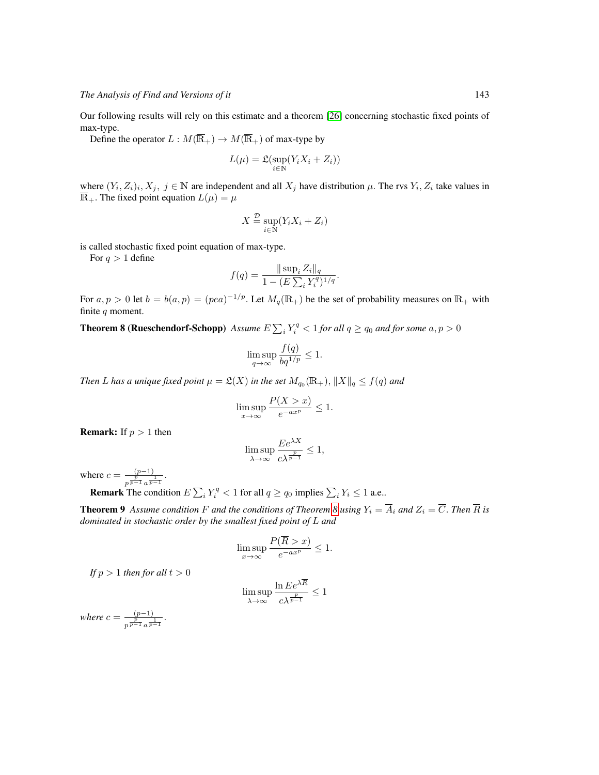Our following results will rely on this estimate and a theorem [\[26\]](#page-25-7) concerning stochastic fixed points of max-type.

Define the operator  $L : M(\overline{\mathbb{R}}_+) \to M(\overline{\mathbb{R}}_+)$  of max-type by

$$
L(\mu) = \mathfrak{L}(\sup_{i \in \mathbb{N}} (Y_i X_i + Z_i))
$$

where  $(Y_i, Z_i)_i, X_j, j \in \mathbb{N}$  are independent and all  $X_j$  have distribution  $\mu$ . The rvs  $Y_i, Z_i$  take values in  $\overline{\mathbb{R}}_+$ . The fixed point equation  $L(\mu) = \mu$ 

$$
X \stackrel{\mathcal{D}}{=} \sup_{i \in \mathbb{N}} (Y_i X_i + Z_i)
$$

is called stochastic fixed point equation of max-type.

For  $q > 1$  define

$$
f(q) = \frac{\|\sup_i Z_i\|_q}{1 - (E\sum_i Y_i^q)^{1/q}}.
$$

For  $a, p > 0$  let  $b = b(a, p) = (pea)^{-1/p}$ . Let  $M_q(\mathbb{R}_+)$  be the set of probability measures on  $\mathbb{R}_+$  with finite  $q$  moment.

<span id="page-14-0"></span>**Theorem 8 (Rueschendorf-Schopp)** Assume  $E\sum_i Y_i^q < 1$  for all  $q \geq q_0$  and for some  $a, p > 0$ 

$$
\limsup_{q \to \infty} \frac{f(q)}{bq^{1/p}} \le 1.
$$

*Then* L has a unique fixed point  $\mu = \mathfrak{L}(X)$  in the set  $M_{q_0}(\mathbb{R}_+), \|X\|_q \le f(q)$  and

$$
\limsup_{x \to \infty} \frac{P(X > x)}{e^{-ax^p}} \le 1.
$$

**Remark:** If  $p > 1$  then

$$
\limsup_{\lambda \to \infty} \frac{E e^{\lambda X}}{c \lambda^{\frac{p}{p-1}}} \le 1,
$$

where  $c = \frac{(p-1)}{p}$  $\frac{(p-1)}{p^{\frac{p}{p-1}}a^{\frac{1}{p-1}}}.$ 

**Remark** The condition  $E \sum_i Y_i^q < 1$  for all  $q \ge q_0$  implies  $\sum_i Y_i \le 1$  a.e..

**Theorem 9** Assume condition F and the conditions of Theorem [8](#page-14-0) using  $Y_i = \overline{A}_i$  and  $Z_i = \overline{C}$ . Then  $\overline{R}$  is *dominated in stochastic order by the smallest fixed point of* L *and*

$$
\limsup_{x \to \infty} \frac{P(R > x)}{e^{-ax^p}} \le 1.
$$

*If*  $p > 1$  *then for all*  $t > 0$ 

$$
\limsup_{\lambda \to \infty} \frac{\ln E e^{\lambda R}}{c \lambda^{\frac{p}{p-1}}} \le 1
$$

*where*  $c = \frac{(p-1)}{p}$  $\frac{p}{p^{\frac{p}{p-1}}a^{\frac{1}{p-1}}}.$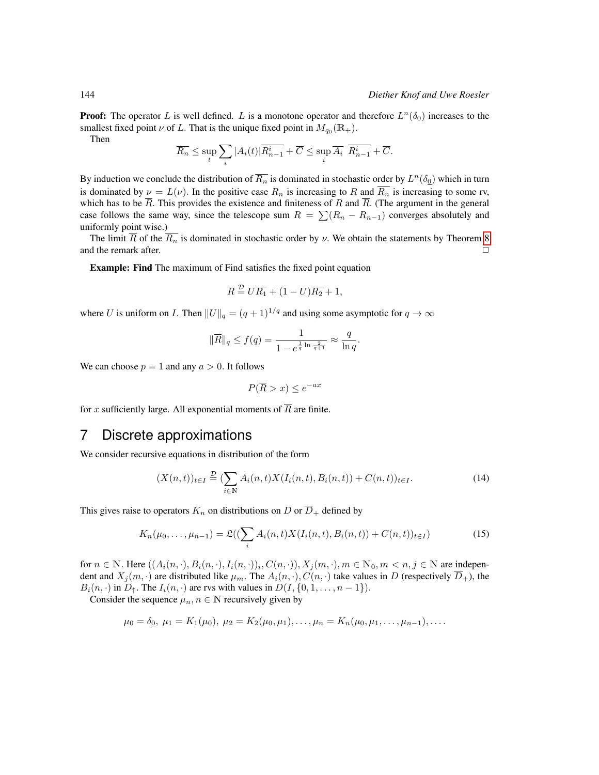**Proof:** The operator L is well defined. L is a monotone operator and therefore  $L^n(\delta_0)$  increases to the smallest fixed point  $\nu$  of L. That is the unique fixed point in  $M_{q_0}(\mathbb{R}_+).$ 

Then

$$
\overline{R_n} \le \sup_t \sum_i |A_i(t)| \overline{R_{n-1}^i} + \overline{C} \le \sup_i \overline{A_i} \ \overline{R_{n-1}^i} + \overline{C}.
$$

By induction we conclude the distribution of  $\overline{R_n}$  is dominated in stochastic order by  $L^n(\delta_0)$  which in turn is dominated by  $\nu = L(\nu)$ . In the positive case  $R_n$  is increasing to R and  $\overline{R_n}$  is increasing to some rv, which has to be  $\overline{R}$ . This provides the existence and finiteness of R and  $\overline{R}$ . (The argument in the general case follows the same way, since the telescope sum  $R = \sum (R_n - R_{n-1})$  converges absolutely and uniformly point wise.)

The limit  $\overline{R}$  of the  $\overline{R_n}$  is dominated in stochastic order by  $\nu$ . We obtain the statements by Theorem [8](#page-14-0) and the remark after.  $\Box$ 

Example: Find The maximum of Find satisfies the fixed point equation

$$
\overline{R} \stackrel{\mathcal{D}}{=} U \overline{R_1} + (1 - U) \overline{R_2} + 1,
$$

where U is uniform on I. Then  $||U||_q = (q + 1)^{1/q}$  and using some asymptotic for  $q \to \infty$ 

$$
\|\overline{R}\|_{q} \le f(q) = \frac{1}{1 - e^{\frac{1}{q} \ln \frac{2}{q+1}}} \approx \frac{q}{\ln q}.
$$

We can choose  $p = 1$  and any  $a > 0$ . It follows

$$
P(\overline{R} > x) \le e^{-ax}
$$

for x sufficiently large. All exponential moments of  $\overline{R}$  are finite.

### 7 Discrete approximations

We consider recursive equations in distribution of the form

$$
(X(n,t))_{t \in I} \stackrel{\mathcal{D}}{=} (\sum_{i \in \mathbb{N}} A_i(n,t) X(I_i(n,t), B_i(n,t)) + C(n,t))_{t \in I}.
$$
 (14)

This gives raise to operators  $K_n$  on distributions on D or  $\overline{D}_+$  defined by

$$
K_n(\mu_0, \dots, \mu_{n-1}) = \mathfrak{L}((\sum_i A_i(n, t) X(I_i(n, t), B_i(n, t)) + C(n, t))_{t \in I})
$$
\n(15)

for  $n \in \mathbb{N}$ . Here  $((A_i(n, \cdot), B_i(n, \cdot), I_i(n, \cdot))_i, C(n, \cdot)), X_j(m, \cdot), m \in \mathbb{N}_0, m \lt n, j \in \mathbb{N}$  are independent and  $X_i(m, \cdot)$  are distributed like  $\mu_m$ . The  $A_i(n, \cdot), C(n, \cdot)$  take values in D (respectively  $\overline{D}_+$ ), the  $B_i(n, \cdot)$  in  $D_{\uparrow}$ . The  $I_i(n, \cdot)$  are rvs with values in  $D(I, \{0, 1, \ldots, n-1\})$ .

Consider the sequence  $\mu_n, n \in \mathbb{N}$  recursively given by

$$
\mu_0 = \delta_0, \ \mu_1 = K_1(\mu_0), \ \mu_2 = K_2(\mu_0, \mu_1), \dots, \mu_n = K_n(\mu_0, \mu_1, \dots, \mu_{n-1}), \dots
$$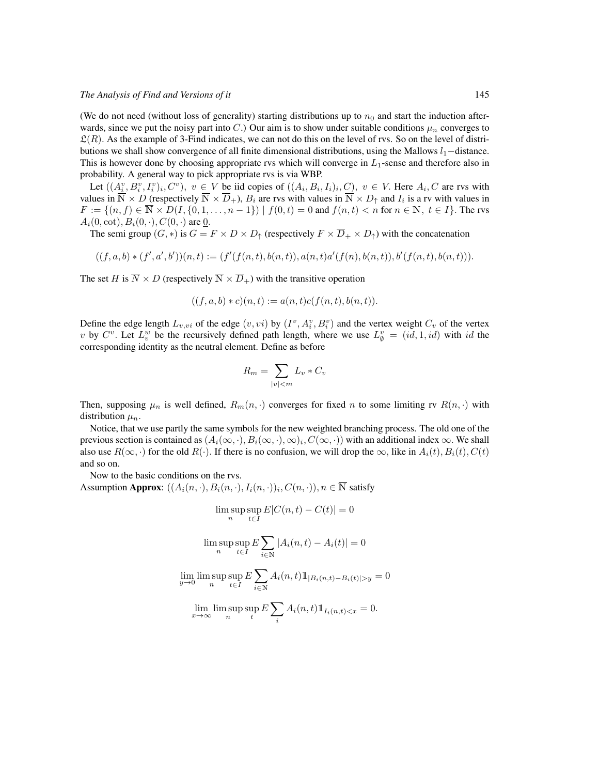(We do not need (without loss of generality) starting distributions up to  $n_0$  and start the induction afterwards, since we put the noisy part into C.) Our aim is to show under suitable conditions  $\mu_n$  converges to  $\mathfrak{L}(R)$ . As the example of 3-Find indicates, we can not do this on the level of rvs. So on the level of distributions we shall show convergence of all finite dimensional distributions, using the Mallows  $l_1$ −distance. This is however done by choosing appropriate rvs which will converge in  $L_1$ -sense and therefore also in probability. A general way to pick appropriate rvs is via WBP.

Let  $((A_i^v, B_i^v, I_i^v)_i, C^v), v \in V$  be iid copies of  $((A_i, B_i, I_i)_i, C), v \in V$ . Here  $A_i, C$  are rvs with values in  $\overline{\mathbb{N}} \times D$  (respectively  $\overline{\mathbb{N}} \times \overline{D}_+$ ),  $B_i$  are rvs with values in  $\overline{\mathbb{N}} \times D_\uparrow$  and  $I_i$  is a rv with values in  $F := \{(n, f) \in \overline{\mathbb{N}} \times D(I, \{0, 1, \dots, n-1\}) \mid f(0, t) = 0 \text{ and } f(n, t) < n \text{ for } n \in \mathbb{N}, t \in I\}.$  The rvs  $A_i(0, \text{cot}), B_i(0, \cdot), C(0, \cdot)$  are 0.

The semi group  $(G, *)$  is  $G = F \times D \times D_{\uparrow}$  (respectively  $F \times \overline{D}_{+} \times D_{\uparrow}$ ) with the concatenation

$$
((f,a,b)*(f',a',b'))(n,t):=(f'(f(n,t),b(n,t)),a(n,t)a'(f(n),b(n,t)),b'(f(n,t),b(n,t))).
$$

The set H is  $\overline{N} \times D$  (respectively  $\overline{N} \times \overline{D}_{+}$ ) with the transitive operation

$$
((f, a, b) * c)(n, t) := a(n, t)c(f(n, t), b(n, t)).
$$

Define the edge length  $L_{v,vi}$  of the edge  $(v, vi)$  by  $(I^v, A_i^v, B_i^v)$  and the vertex weight  $C_v$  of the vertex v by  $C^v$ . Let  $L_v^w$  be the recursively defined path length, where we use  $L_{\emptyset}^v = (id, 1, id)$  with id the corresponding identity as the neutral element. Define as before

$$
R_m = \sum_{|v| < m} L_v * C_v
$$

Then, supposing  $\mu_n$  is well defined,  $R_m(n, \cdot)$  converges for fixed n to some limiting rv  $R(n, \cdot)$  with distribution  $\mu_n$ .

Notice, that we use partly the same symbols for the new weighted branching process. The old one of the previous section is contained as  $(A_i(\infty,\cdot),B_i(\infty,\cdot),\infty)_i,C(\infty,\cdot))$  with an additional index  $\infty$ . We shall also use  $R(\infty, \cdot)$  for the old  $R(\cdot)$ . If there is no confusion, we will drop the  $\infty$ , like in  $A_i(t), B_i(t), C(t)$ and so on.

Now to the basic conditions on the rvs.

<span id="page-16-0"></span>Assumption **Approx**:  $((A_i(n, \cdot), B_i(n, \cdot), I_i(n, \cdot)), C(n, \cdot)), n \in \overline{\mathbb{N}}$  satisfy

$$
\limsup_{n} \sup_{t \in I} E|C(n, t) - C(t)| = 0
$$
  

$$
\limsup_{n} \sup_{t \in I} E \sum_{i \in \mathbb{N}} |A_i(n, t) - A_i(t)| = 0
$$
  

$$
\lim_{n} \limsup_{t \in I} \sup_{t \in \mathbb{N}} E \sum_{i \in \mathbb{N}} A_i(n, t) \mathbb{1}_{|B_i(n, t) - B_i(t)| > y} = 0
$$
  

$$
\lim_{x \to \infty} \limsup_{n} \sup_{t} E \sum_{i} A_i(n, t) \mathbb{1}_{I_i(n, t) < x} = 0.
$$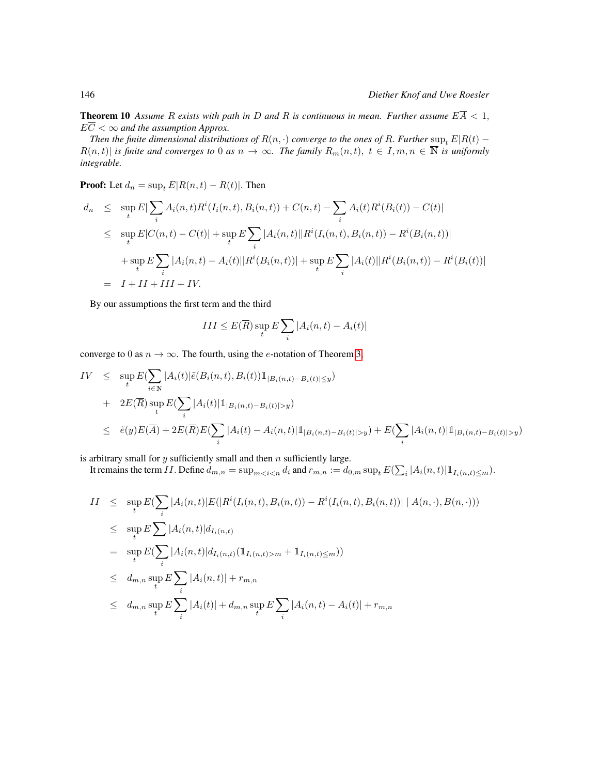**Theorem 10** Assume R exists with path in D and R is continuous in mean. Further assume  $E\overline{A} < 1$ ,  $E\overline{C} < \infty$  and the assumption Approx.

*Then the finite dimensional distributions of*  $R(n, \cdot)$  *converge to the ones of* R. *Further* sup<sub>t</sub>  $E|R(t)$  −  $R(n, t)$  *is finite and converges to* 0 *as*  $n \to \infty$ *. The family*  $R_m(n, t)$ ,  $t \in I, m, n \in \overline{\mathbb{N}}$  *is uniformly integrable.*

**Proof:** Let  $d_n = \sup_t E[R(n, t) - R(t)]$ . Then

$$
d_n \leq \sup_t E|\sum_i A_i(n,t)R^i(I_i(n,t), B_i(n,t)) + C(n,t) - \sum_i A_i(t)R^i(B_i(t)) - C(t)|
$$
  
\n
$$
\leq \sup_t E|C(n,t) - C(t)| + \sup_t E\sum_i |A_i(n,t)||R^i(I_i(n,t), B_i(n,t)) - R^i(B_i(n,t))|
$$
  
\n
$$
+ \sup_t E\sum_i |A_i(n,t) - A_i(t)||R^i(B_i(n,t))| + \sup_t E\sum_i |A_i(t)||R^i(B_i(n,t)) - R^i(B_i(t))|
$$
  
\n
$$
= I + II + III + IV.
$$

By our assumptions the first term and the third

$$
III \leq E(\overline{R}) \sup_{t} E \sum_{i} |A_i(n, t) - A_i(t)|
$$

converge to 0 as  $n \to \infty$ . The fourth, using the *e*-notation of Theorem [3,](#page-9-0)

$$
IV \leq \sup_{t} E(\sum_{i \in \mathbb{N}} |A_{i}(t)| \tilde{e}(B_{i}(n,t), B_{i}(t)) \mathbb{1}_{|B_{i}(n,t)-B_{i}(t)| \leq y})
$$
  
+ 
$$
2E(\overline{R}) \sup_{t} E(\sum_{i} |A_{i}(t)| \mathbb{1}_{|B_{i}(n,t)-B_{i}(t)| > y})
$$
  

$$
\leq \tilde{e}(y)E(\overline{A}) + 2E(\overline{R})E(\sum_{i} |A_{i}(t) - A_{i}(n,t)| \mathbb{1}_{|B_{i}(n,t)-B_{i}(t)| > y}) + E(\sum_{i} |A_{i}(n,t)| \mathbb{1}_{|B_{i}(n,t)-B_{i}(t)| > y})
$$

is arbitrary small for  $y$  sufficiently small and then  $n$  sufficiently large.

It remains the term II. Define  $d_{m,n} = \sup_{m < i < n} d_i$  and  $r_{m,n} := d_{0,m} \sup_t E(\sum_i |A_i(n, t)| \mathbb{1}_{I_i(n, t) \le m})$ .

$$
II \leq \sup_{t} E(\sum_{i} |A_{i}(n,t)| E(|R^{i}(I_{i}(n,t), B_{i}(n,t)) - R^{i}(I_{i}(n,t), B_{i}(n,t))| | A(n, \cdot), B(n, \cdot)))
$$
  
\n
$$
\leq \sup_{t} E\sum_{i} |A_{i}(n,t)| d_{I_{i}(n,t)}
$$
  
\n
$$
= \sup_{t} E(\sum_{i} |A_{i}(n,t)| d_{I_{i}(n,t)} (\mathbb{1}_{I_{i}(n,t) > m} + \mathbb{1}_{I_{i}(n,t) \leq m}))
$$
  
\n
$$
\leq d_{m,n} \sup_{t} E\sum_{i} |A_{i}(n,t)| + r_{m,n}
$$
  
\n
$$
\leq d_{m,n} \sup_{t} E\sum_{i} |A_{i}(t)| + d_{m,n} \sup_{t} E\sum_{i} |A_{i}(n,t) - A_{i}(t)| + r_{m,n}
$$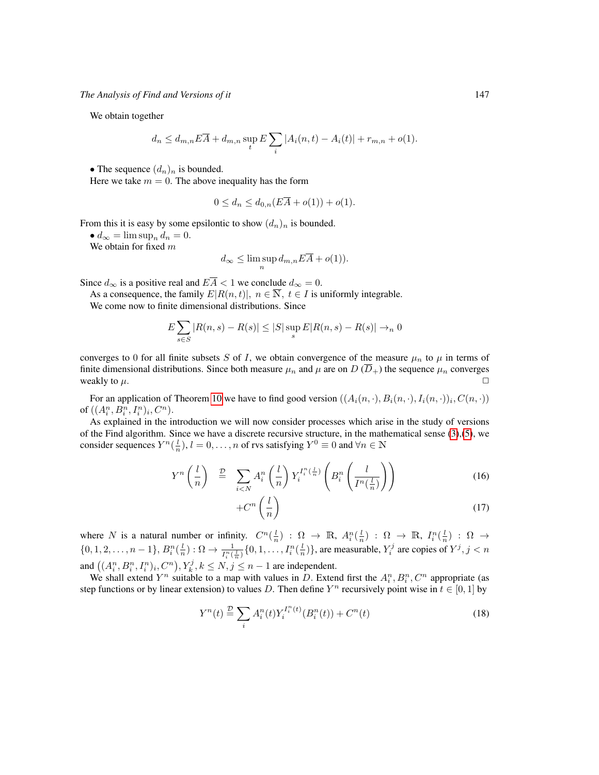We obtain together

$$
d_n \le d_{m,n} E\overline{A} + d_{m,n} \sup_t E \sum_i |A_i(n,t) - A_i(t)| + r_{m,n} + o(1).
$$

• The sequence  $(d_n)_n$  is bounded.

Here we take  $m = 0$ . The above inequality has the form

$$
0 \le d_n \le d_{0,n}(E\overline{A} + o(1)) + o(1).
$$

From this it is easy by some epsilontic to show  $(d_n)_n$  is bounded.

•  $d_{\infty} = \limsup_n d_n = 0.$ 

We obtain for fixed  $m$ 

$$
d_{\infty} \leq \limsup_{n} d_{m,n} E \overline{A} + o(1)).
$$

Since  $d_{\infty}$  is a positive real and  $E\overline{A} < 1$  we conclude  $d_{\infty} = 0$ .

As a consequence, the family  $E[R(n, t)], n \in \overline{N}, t \in I$  is uniformly integrable.

We come now to finite dimensional distributions. Since

$$
E\sum_{s\in S} |R(n, s) - R(s)| \le |S| \sup_{s} E|R(n, s) - R(s)| \to n 0
$$

converges to 0 for all finite subsets S of I, we obtain convergence of the measure  $\mu_n$  to  $\mu$  in terms of finite dimensional distributions. Since both measure  $\mu_n$  and  $\mu$  are on D (D<sub>+</sub>) the sequence  $\mu_n$  converges weakly to  $\mu$ .

For an application of Theorem [10](#page-16-0) we have to find good version  $((A_i(n, \cdot), B_i(n, \cdot), I_i(n, \cdot))_i, C(n, \cdot))$ of  $((A_{i}^{n}, B_{i}^{n}, I_{i}^{n})_{i}, C^{n})$ .

As explained in the introduction we will now consider processes which arise in the study of versions of the Find algorithm. Since we have a discrete recursive structure, in the mathematical sense  $(3)$ , $(5)$ , we consider sequences  $Y^n(\frac{l}{n})$ ,  $l = 0, \ldots, n$  of rvs satisfying  $Y^0 \equiv 0$  and  $\forall n \in \mathbb{N}$ 

<span id="page-18-0"></span>
$$
Y^{n}\left(\frac{l}{n}\right) \stackrel{D}{=} \sum_{i < N} A_{i}^{n}\left(\frac{l}{n}\right) Y_{i}^{I_{i}^{n}\left(\frac{l}{n}\right)}\left(B_{i}^{n}\left(\frac{l}{I^{n}\left(\frac{l}{n}\right)}\right)\right) \tag{16}
$$

<span id="page-18-1"></span>
$$
+C^n\left(\frac{l}{n}\right) \tag{17}
$$

where N is a natural number or infinity.  $C^n(\frac{l}{n})$  :  $\Omega \to \mathbb{R}$ ,  $A_i^n(\frac{l}{n})$  :  $\Omega \to \mathbb{R}$ ,  $I_i^n(\frac{l}{n})$  :  $\Omega \to$  $\{0, 1, 2, \ldots, n-1\}, B_i^n(\frac{l}{n}) : \Omega \to \frac{1}{I_i^n(\frac{l}{n})} \{0, 1, \ldots, I_i^n(\frac{l}{n})\}$ , are measurable,  $Y_i^j$  are copies of  $Y^j, j < n$ and  $((A_i^n, B_i^n, I_i^n)_i, C^n), Y_k^j, k \le N, j \le n-1$  are independent.

We shall extend  $Y^n$  suitable to a map with values in D. Extend first the  $A_i^n, B_i^n, C^n$  appropriate (as step functions or by linear extension) to values D. Then define  $Y^n$  recursively point wise in  $t \in [0, 1]$  by

$$
Y^{n}(t) \stackrel{\mathcal{D}}{=} \sum_{i} A_{i}^{n}(t) Y_{i}^{I_{i}^{n}(t)}(B_{i}^{n}(t)) + C^{n}(t)
$$
\n(18)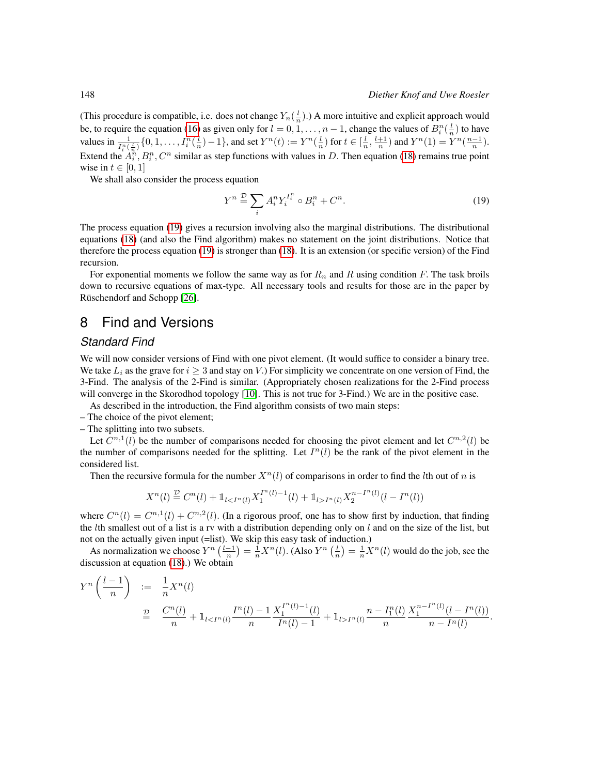(This procedure is compatible, i.e. does not change  $Y_n(\frac{l}{n})$ .) A more intuitive and explicit approach would be, to require the equation [\(16\)](#page-18-0) as given only for  $l = 0, 1, ..., n - 1$ , change the values of  $B_i^n(\frac{l}{n})$  to have values in  $\frac{1}{I_i^n(\frac{L}{n})} \{0, 1, \ldots, I_i^n(\frac{l}{n}) - 1\}$ , and set  $Y^n(t) := Y^n(\frac{l}{n})$  for  $t \in [\frac{l}{n}, \frac{l+1}{n})$  and  $Y^n(1) = Y^n(\frac{n-1}{n})$ . Extend the  $A_i^n, B_i^n, C^n$  similar as step functions with values in D. Then equation [\(18\)](#page-18-1) remains true point wise in  $t \in [0, 1]$ 

We shall also consider the process equation

<span id="page-19-0"></span>
$$
Y^n \stackrel{\mathcal{D}}{=} \sum_i A_i^n Y_i^{I_i^n} \circ B_i^n + C^n. \tag{19}
$$

The process equation [\(19\)](#page-19-0) gives a recursion involving also the marginal distributions. The distributional equations [\(18\)](#page-18-1) (and also the Find algorithm) makes no statement on the joint distributions. Notice that therefore the process equation [\(19\)](#page-19-0) is stronger than [\(18\)](#page-18-1). It is an extension (or specific version) of the Find recursion.

For exponential moments we follow the same way as for  $R_n$  and R using condition F. The task broils down to recursive equations of max-type. All necessary tools and results for those are in the paper by Rüschendorf and Schopp [\[26\]](#page-25-7).

# 8 Find and Versions

### *Standard Find*

<span id="page-19-1"></span>We will now consider versions of Find with one pivot element. (It would suffice to consider a binary tree. We take  $L_i$  as the grave for  $i \geq 3$  and stay on V.) For simplicity we concentrate on one version of Find, the 3-Find. The analysis of the 2-Find is similar. (Appropriately chosen realizations for the 2-Find process will converge in the Skorodhod topology [\[10\]](#page-24-0). This is not true for 3-Find.) We are in the positive case.

As described in the introduction, the Find algorithm consists of two main steps:

– The choice of the pivot element;

– The splitting into two subsets.

Let  $C^{n,1}(l)$  be the number of comparisons needed for choosing the pivot element and let  $C^{n,2}(l)$  be the number of comparisons needed for the splitting. Let  $I<sup>n</sup>(l)$  be the rank of the pivot element in the considered list.

Then the recursive formula for the number  $X<sup>n</sup>(l)$  of comparisons in order to find the *l*th out of *n* is

$$
X^{n}(l) \stackrel{\mathcal{D}}{=} C^{n}(l) + 1_{l < I^{n}(l)} X_1^{I^{n}(l)-1}(l) + 1_{l > I^{n}(l)} X_2^{n-I^{n}(l)}(l-I^{n}(l))
$$

where  $C^n(l) = C^{n,1}(l) + C^{n,2}(l)$ . (In a rigorous proof, one has to show first by induction, that finding the *l*th smallest out of a list is a rv with a distribution depending only on *l* and on the size of the list, but not on the actually given input (=list). We skip this easy task of induction.)

As normalization we choose  $Y^n\left(\frac{l-1}{n}\right) = \frac{1}{n}X^n(l)$ . (Also  $Y^n\left(\frac{l}{n}\right) = \frac{1}{n}X^n(l)$  would do the job, see the discussion at equation [\(18\)](#page-18-1).) We obtain

$$
Y^{n}\left(\frac{l-1}{n}\right) := \frac{1}{n}X^{n}(l)
$$
  
\n
$$
\stackrel{D}{=} \frac{C^{n}(l)}{n} + \mathbb{1}_{l < I^{n}(l)} \frac{I^{n}(l) - 1}{n} \frac{X_{1}^{I^{n}(l) - 1}(l)}{I^{n}(l) - 1} + \mathbb{1}_{l > I^{n}(l)} \frac{n - I_{1}^{n}(l)}{n} \frac{X_{1}^{n - I^{n}(l)}(l - I^{n}(l))}{n - I^{n}(l)}.
$$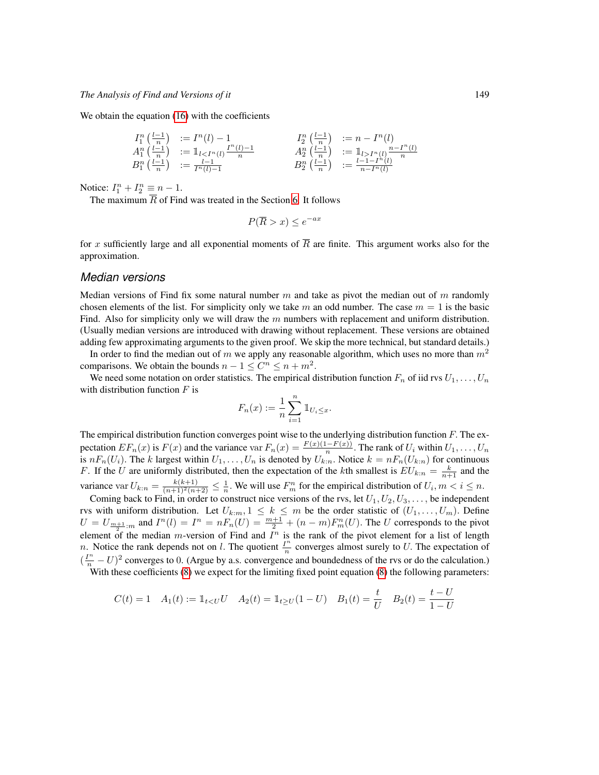We obtain the equation [\(16\)](#page-18-0) with the coefficients

$$
\begin{array}{llll}\nI_1^n\left(\frac{l-1}{n}\right) & := I^n(l) - 1 & I_2^n\left(\frac{l-1}{n}\right) & := n - I^n(l) \\
A_1^n\left(\frac{l-1}{n}\right) & := \mathbb{1}_{l < I^n(l)} \frac{I^n(l) - 1}{n} & A_2^n\left(\frac{l-1}{n}\right) & := \mathbb{1}_{l > I^n(l)} \frac{n - I^n(l)}{n} \\
B_1^n\left(\frac{l-1}{n}\right) & := \frac{l-1}{I^n(l) - 1} & B_2^n\left(\frac{l-1}{n}\right) & := \frac{l-1 - I^n(l)}{n - I^n(l)}\n\end{array}
$$

Notice:  $I_1^n + I_2^n \equiv n - 1$ .

The maximum  $\overline{R}$  of Find was treated in the Section [6.](#page-13-0) It follows

$$
P(\overline{R} > x) \le e^{-ax}
$$

for x sufficiently large and all exponential moments of  $\overline{R}$  are finite. This argument works also for the approximation.

### *Median versions*

Median versions of Find fix some natural number  $m$  and take as pivot the median out of  $m$  randomly chosen elements of the list. For simplicity only we take m an odd number. The case  $m = 1$  is the basic Find. Also for simplicity only we will draw the  $m$  numbers with replacement and uniform distribution. (Usually median versions are introduced with drawing without replacement. These versions are obtained adding few approximating arguments to the given proof. We skip the more technical, but standard details.)

In order to find the median out of m we apply any reasonable algorithm, which uses no more than  $m<sup>2</sup>$ comparisons. We obtain the bounds  $n - 1 \le C^n \le n + m^2$ .

We need some notation on order statistics. The empirical distribution function  $F_n$  of iid rvs  $U_1, \ldots, U_n$ with distribution function  $F$  is

$$
F_n(x) := \frac{1}{n} \sum_{i=1}^n \mathbb{1}_{U_i \leq x}.
$$

The empirical distribution function converges point wise to the underlying distribution function  $F$ . The expectation  $EF_n(x)$  is  $F(x)$  and the variance var  $F_n(x) = \frac{F(x)(1-F(x))}{n}$ . The rank of  $U_i$  within  $U_1, \ldots, U_n$ is  $nF_n(U_i)$ . The k largest within  $U_1, \ldots, U_n$  is denoted by  $U_{k:n}$ . Notice  $k = nF_n(U_{k:n})$  for continuous F. If the U are uniformly distributed, then the expectation of the kth smallest is  $EU_{k:n} = \frac{k}{n+1}$  and the variance var  $U_{k:n} = \frac{k(k+1)}{(n+1)^2(n+2)} \leq \frac{1}{n}$ . We will use  $F_m^n$  for the empirical distribution of  $U_i, m < i \leq n$ .

Coming back to Find, in order to construct nice versions of the rvs, let  $U_1, U_2, U_3, \ldots$ , be independent rvs with uniform distribution. Let  $U_{k:m}$ ,  $1 \leq k \leq m$  be the order statistic of  $(U_1, \ldots, U_m)$ . Define  $U = U_{\frac{m+1}{2} \cdot m}$  and  $I^n(l) = I^n = nF_n(U) = \frac{m+1}{2} + (n-m)F_n^n(U)$ . The U corresponds to the pivot element of the median *m*-version of Find and  $I<sup>n</sup>$  is the rank of the pivot element for a list of length *n*. Notice the rank depends not on *l*. The quotient  $\frac{I^n}{I^n}$  $\frac{l^n}{n}$  converges almost surely to U. The expectation of  $(\frac{I^n}{n} - U)^2$  converges to 0. (Argue by a.s. convergence and boundedness of the rvs or do the calculation.)

With these coefficients [\(8\)](#page-6-0) we expect for the limiting fixed point equation (8) the following parameters:

<span id="page-20-0"></span>
$$
C(t) = 1 \quad A_1(t) := \mathbb{1}_{t < U}U \quad A_2(t) = \mathbb{1}_{t \ge U}(1 - U) \quad B_1(t) = \frac{t}{U} \quad B_2(t) = \frac{t - U}{1 - U}
$$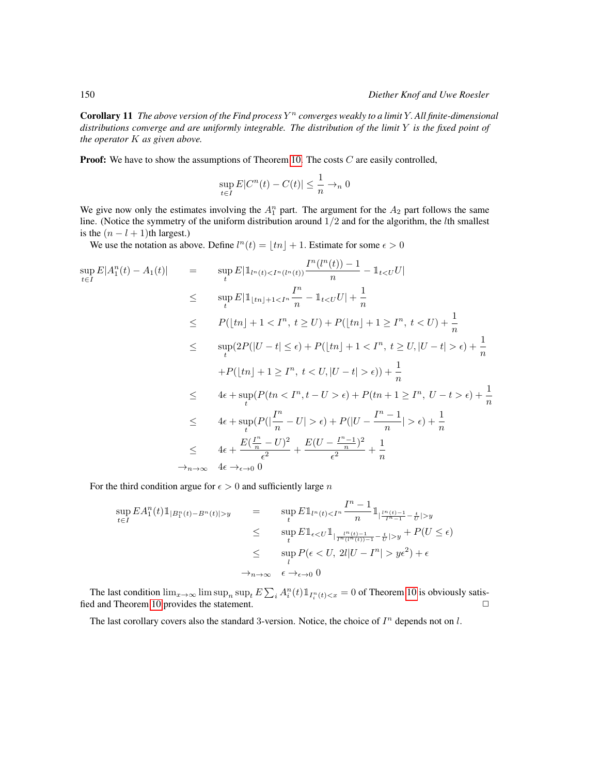Corollary 11 *The above version of the Find process* Y <sup>n</sup> *converges weakly to a limit* Y. *All finite-dimensional distributions converge and are uniformly integrable. The distribution of the limit* Y *is the fixed point of the operator* K *as given above.*

**Proof:** We have to show the assumptions of Theorem [10.](#page-16-0) The costs  $C$  are easily controlled,

$$
\sup_{t \in I} E|C^n(t) - C(t)| \le \frac{1}{n} \to_n 0
$$

We give now only the estimates involving the  $A_1^n$  part. The argument for the  $A_2$  part follows the same line. (Notice the symmetry of the uniform distribution around  $1/2$  and for the algorithm, the *l*th smallest is the  $(n - l + 1)$ th largest.)

We use the notation as above. Define  $l^n(t) = \lfloor tn \rfloor + 1$ . Estimate for some  $\epsilon > 0$ 

$$
\sup_{t \in I} E|A_1^n(t) - A_1(t)| = \sup_t E|1_{[tn]}(t) < I^n(I^n(t)) \frac{I^n(I^n(t)) - 1}{n} - 1_{t < U}U|
$$
\n
$$
\leq \sup_t E|1_{[tn]+1 < I^n} \frac{I^n}{n} - 1_{t < U}U| + \frac{1}{n}
$$
\n
$$
\leq P([tn] + 1 < I^n, t \geq U) + P([tn] + 1 \geq I^n, t < U) + \frac{1}{n}
$$
\n
$$
\leq \sup_t (2P(|U - t| \leq \epsilon) + P([tn] + 1 < I^n, t \geq U, |U - t| > \epsilon) + \frac{1}{n}
$$
\n
$$
+ P([tn] + 1 \geq I^n, t < U, |U - t| > \epsilon)) + \frac{1}{n}
$$
\n
$$
\leq 4\epsilon + \sup_t (P(tn < I^n, t - U > \epsilon) + P(tn + 1 \geq I^n, U - t > \epsilon) + \frac{1}{n}
$$
\n
$$
\leq 4\epsilon + \sup_t (P(|\frac{I^n}{n} - U| > \epsilon) + P(|U - \frac{I^n - 1}{n}| > \epsilon) + \frac{1}{n}
$$
\n
$$
\leq 4\epsilon + \frac{E(\frac{I^n}{n} - U)^2}{\epsilon^2} + \frac{E(U - \frac{I^n - 1}{n})^2}{\epsilon^2} + \frac{1}{n}
$$
\n
$$
\to_{n \to \infty} 4\epsilon \to_{\epsilon \to 0} 0
$$

For the third condition argue for  $\epsilon > 0$  and sufficiently large n

$$
\sup_{t \in I} EA_1^n(t) \mathbb{1}_{|B_1^n(t) - B^n(t)| > y} = \sup_t E \mathbb{1}_{\{n(t) < I^n} \frac{I^n - 1}{n} \mathbb{1}_{\frac{|I^n(t) - 1}{I^n - 1} - \frac{t}{U}| > y} \le \sup_t E \mathbb{1}_{\{\epsilon < U \mathbb{1}_{\left|\frac{I^n(t) - 1}{I^n(t(t)) - 1} - \frac{t}{U}| > y} + P(U \le \epsilon) \le \sup_l P(\epsilon < U, 2l | U - I^n | > y \epsilon^2) + \epsilon \le \lambda_{n \to \infty} \epsilon \to_{\epsilon \to 0} 0
$$

The last condition  $\lim_{x\to\infty} \limsup_n \sup_t E\sum_i A_i^n(t) 1\!\!\!\;\mathbb{1}_{I_i^n(t)< x} = 0$  of Theorem [10](#page-16-0) is obviously satis-fied and Theorem [10](#page-16-0) provides the statement.  $\Box$ 

The last corollary covers also the standard 3-version. Notice, the choice of  $I<sup>n</sup>$  depends not on  $l$ .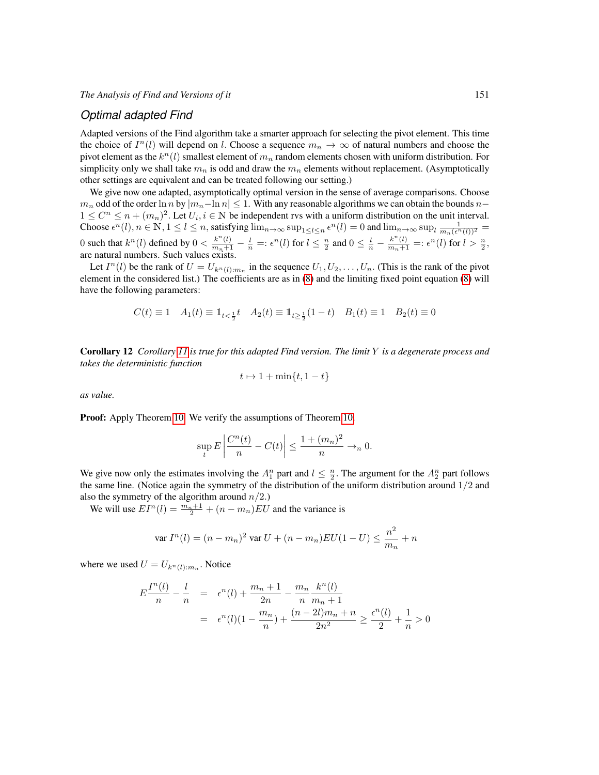### *Optimal adapted Find*

Adapted versions of the Find algorithm take a smarter approach for selecting the pivot element. This time the choice of  $I<sup>n</sup>(l)$  will depend on *l*. Choose a sequence  $m_n \to \infty$  of natural numbers and choose the pivot element as the  $k^n(l)$  smallest element of  $m_n$  random elements chosen with uniform distribution. For simplicity only we shall take  $m_n$  is odd and draw the  $m_n$  elements without replacement. (Asymptotically other settings are equivalent and can be treated following our setting.)

We give now one adapted, asymptotically optimal version in the sense of average comparisons. Choose  $m_n$  odd of the order ln n by  $|m_n-$ ln  $n|\leq 1$ . With any reasonable algorithms we can obtain the bounds  $n 1 \leq C^n \leq n + (m_n)^2$ . Let  $U_i, i \in \mathbb{N}$  be independent rvs with a uniform distribution on the unit interval. Choose  $\epsilon^n(l)$ ,  $n \in \mathbb{N}$ ,  $1 \le l \le n$ , satisfying  $\lim_{n \to \infty} \sup_{1 \le l \le n} \epsilon^n(l) = 0$  and  $\lim_{n \to \infty} \sup_{l} \frac{1}{m_n(\epsilon^n(l))^2} =$ 0 such that  $k^n(l)$  defined by  $0 < \frac{k^n(l)}{m_n+1} - \frac{l}{n} =: \epsilon^n(l)$  for  $l \leq \frac{n}{2}$  and  $0 \leq \frac{l}{n} - \frac{k^n(l)}{m_n+1} =: \epsilon^n(l)$  for  $l > \frac{n}{2}$ , are natural numbers. Such values exists.

Let  $I^n(l)$  be the rank of  $U = U_{k^n(l):m_n}$  in the sequence  $U_1, U_2, \ldots, U_n$ . (This is the rank of the pivot element in the considered list.) The coefficients are as in [\(8\)](#page-19-1) and the limiting fixed point equation [\(8\)](#page-6-0) will have the following parameters:

$$
C(t)\equiv 1\quad A_1(t)\equiv \mathbbm{1}_{t<\frac{1}{2}}t\quad A_2(t)\equiv \mathbbm{1}_{t\geq \frac{1}{2}}(1-t)\quad B_1(t)\equiv 1\quad B_2(t)\equiv 0
$$

Corollary 12 *Corollary [11](#page-20-0) is true for this adapted Find version. The limit* Y *is a degenerate process and takes the deterministic function*

$$
t \mapsto 1 + \min\{t, 1 - t\}
$$

*as value.*

Proof: Apply Theorem [10.](#page-16-0) We verify the assumptions of Theorem [10.](#page-16-0)

$$
\sup_{t} E\left|\frac{C^n(t)}{n} - C(t)\right| \le \frac{1 + (m_n)^2}{n} \to_n 0.
$$

We give now only the estimates involving the  $A_1^n$  part and  $l \leq \frac{n}{2}$ . The argument for the  $A_2^n$  part follows the same line. (Notice again the symmetry of the distribution of the uniform distribution around  $1/2$  and also the symmetry of the algorithm around  $n/2$ .)

We will use  $EI^n(l) = \frac{m_n+1}{2} + (n - m_n)EU$  and the variance is

$$
\text{var } I^n(l) = (n - m_n)^2 \text{ var } U + (n - m_n)EU(1 - U) \le \frac{n^2}{m_n} + n
$$

where we used  $U = U_{k^n(l):m_n}$ . Notice

$$
E\frac{I^n(l)}{n} - \frac{l}{n} = \epsilon^n(l) + \frac{m_n + 1}{2n} - \frac{m_n}{n}\frac{k^n(l)}{m_n + 1}
$$
  
= 
$$
\epsilon^n(l)(1 - \frac{m_n}{n}) + \frac{(n-2l)m_n + n}{2n^2} \ge \frac{\epsilon^n(l)}{2} + \frac{1}{n} > 0
$$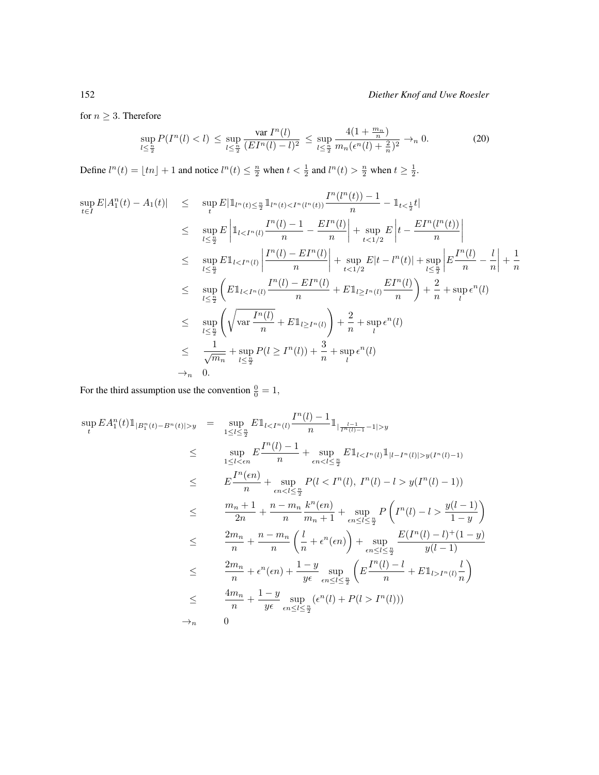for  $n \geq 3$ . Therefore

$$
\sup_{l \le \frac{n}{2}} P(I^n(l) < l) \le \sup_{l \le \frac{n}{2}} \frac{\text{var } I^n(l)}{(E I^n(l) - l)^2} \le \sup_{l \le \frac{n}{2}} \frac{4(1 + \frac{m_n}{n})}{m_n(\epsilon^n(l) + \frac{2}{n})^2} \to_n 0. \tag{20}
$$

Define  $l^n(t) = \lfloor tn \rfloor + 1$  and notice  $l^n(t) \leq \frac{n}{2}$  when  $t < \frac{1}{2}$  and  $l^n(t) > \frac{n}{2}$  when  $t \geq \frac{1}{2}$ .

$$
\sup_{t \in I} E|A_1^n(t) - A_1(t)| \leq \sup_{t} E|1_{l^n(t) \leq \frac{n}{2}} 1_{l^n(t) < I^n(l^n(t))} \frac{I^n(l^n(t)) - 1}{n} - 1_{t < \frac{1}{2}} t|
$$
\n
$$
\leq \sup_{l \leq \frac{n}{2}} E\left|1_{l < I^n(l)} \frac{I^n(l) - 1}{n} - \frac{EI^n(l)}{n}\right| + \sup_{t < 1/2} E\left|t - \frac{EI^n(l^n(t))}{n}\right|
$$
\n
$$
\leq \sup_{l \leq \frac{n}{2}} E1_{l < I^n(l)} \left|\frac{I^n(l) - EI^n(l)}{n}\right| + \sup_{t < 1/2} E|t - l^n(t)| + \sup_{l \leq \frac{n}{2}} \left|E\frac{I^n(l)}{n} - \frac{l}{n}\right| + \frac{1}{n}
$$
\n
$$
\leq \sup_{l \leq \frac{n}{2}} \left(E1_{l < I^n(l)} \frac{I^n(l) - EI^n(l)}{n} + EI_{l \geq I^n(l)} \frac{EI^n(l)}{n}\right) + \frac{2}{n} + \sup_{l} \epsilon^n(l)
$$
\n
$$
\leq \sup_{l \leq \frac{n}{2}} \left(\sqrt{\text{var}\frac{I^n(l)}{n}} + EI_{l \geq I^n(l)}\right) + \frac{2}{n} + \text{sup}_{l} \epsilon^n(l)
$$
\n
$$
\leq \frac{1}{\sqrt{m_n}} + \sup_{l \leq \frac{n}{2}} P(l \geq I^n(l)) + \frac{3}{n} + \sup_{l} \epsilon^n(l)
$$
\n
$$
\to_{n} 0.
$$

For the third assumption use the convention  $\frac{0}{0} = 1$ ,

$$
\sup_{t} EA_{1}^{n}(t) 1_{|B_{1}^{n}(t)-B^{n}(t)|>y} = \sup_{1 \leq l \leq \frac{n}{2}} E1_{l < I^{n}(l)} \frac{I^{n}(l) - 1}{n} 1_{|\frac{l-1}{I^{n}(l)-1} - 1|>y}
$$
\n
$$
\leq \sup_{1 \leq l < \epsilon n} \frac{I^{n}(l) - 1}{n} + \sup_{\epsilon n < l \leq \frac{n}{2}} E1_{l < I^{n}(l)} 1_{|l-I^{n}(l)|>y(I^{n}(l)-1)}
$$
\n
$$
\leq E \frac{I^{n}(\epsilon n)}{n} + \sup_{\epsilon n < l \leq \frac{n}{2}} P(l < I^{n}(l), I^{n}(l) - l > y(I^{n}(l) - 1))
$$
\n
$$
\leq \frac{m_{n} + 1}{2n} + \frac{n - m_{n}}{n} \frac{k^{n}(\epsilon n)}{m_{n} + 1} + \sup_{\epsilon n \leq l \leq \frac{n}{2}} P\left(I^{n}(l) - l > \frac{y(l-1)}{1-y}\right)
$$
\n
$$
\leq \frac{2m_{n}}{n} + \frac{n - m_{n}}{n} \left(\frac{l}{n} + \epsilon^{n}(\epsilon n)\right) + \sup_{\epsilon n \leq l \leq \frac{n}{2}} \frac{E(I^{n}(l) - l)^{+}(1 - y)}{y(l-1)}
$$
\n
$$
\leq \frac{2m_{n}}{n} + \epsilon^{n}(\epsilon n) + \frac{1 - y}{y\epsilon} \sup_{\epsilon n \leq l \leq \frac{n}{2}} \left(E \frac{I^{n}(l) - l}{n} + E1_{l > I^{n}(l)} \frac{l}{n}\right)
$$
\n
$$
\Rightarrow n \qquad 0
$$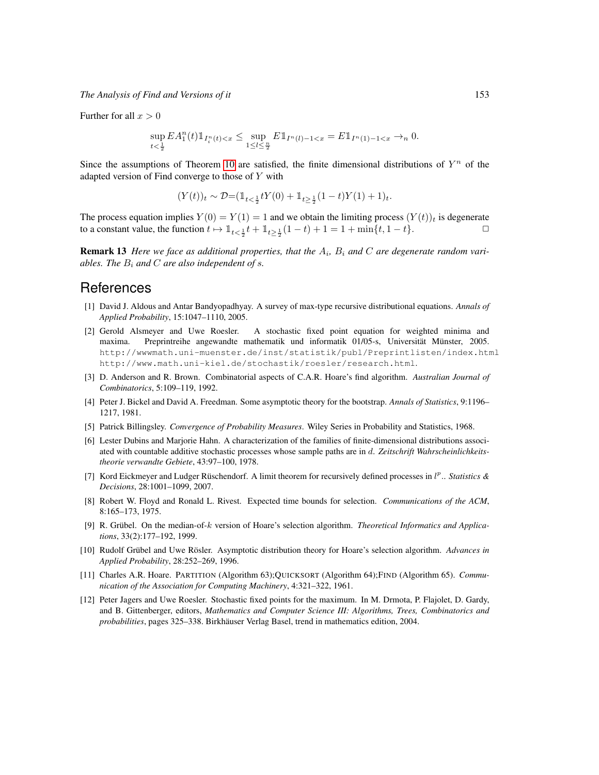Further for all  $x > 0$ 

$$
\sup_{t<\frac{1}{2}} EA^n_1(t) 1\!\!1_{I^n_i(t) < x} \leq \sup_{1 \leq l \leq \frac{n}{2}} E1\!\!1_{I^n(l) - 1 < x} = E1\!\!1_{I^n(1) - 1 < x} \to_n 0.
$$

Since the assumptions of Theorem [10](#page-16-0) are satisfied, the finite dimensional distributions of  $Y^n$  of the adapted version of Find converge to those of Y with

$$
(Y(t))_t \sim \mathcal{D}{=}(\mathbb{1}_{t<\frac{1}{2}}tY(0)+\mathbb{1}_{t\geq \frac{1}{2}}(1-t)Y(1)+1)_t.
$$

The process equation implies  $Y(0) = Y(1) = 1$  and we obtain the limiting process  $(Y(t))_t$  is degenerate to a constant value, the function  $t \mapsto 1_{t < \frac{1}{2}}t + 1_{t \ge \frac{1}{2}}(1-t) + 1 = 1 + \min\{t, 1-t\}.$   $\Box$ 

**Remark 13** Here we face as additional properties, that the  $A_i$ ,  $B_i$  and  $C$  are degenerate random vari*ables. The*  $B_i$  *and*  $C$  *are also independent of s.* 

### References

- <span id="page-24-2"></span>[1] David J. Aldous and Antar Bandyopadhyay. A survey of max-type recursive distributional equations. *Annals of Applied Probability*, 15:1047–1110, 2005.
- <span id="page-24-4"></span>[2] Gerold Alsmeyer and Uwe Roesler. A stochastic fixed point equation for weighted minima and maxima. Preprintreihe angewandte mathematik und informatik 01/05-s, Universität Münster, 2005. http://wwwmath.uni-muenster.de/inst/statistik/publ/Preprintlisten/index.html http://www.math.uni-kiel.de/stochastik/roesler/research.html.
- <span id="page-24-7"></span>[3] D. Anderson and R. Brown. Combinatorial aspects of C.A.R. Hoare's find algorithm. *Australian Journal of Combinatorics*, 5:109–119, 1992.
- <span id="page-24-11"></span>[4] Peter J. Bickel and David A. Freedman. Some asymptotic theory for the bootstrap. *Annals of Statistics*, 9:1196– 1217, 1981.
- <span id="page-24-10"></span>[5] Patrick Billingsley. *Convergence of Probability Measures*. Wiley Series in Probability and Statistics, 1968.
- <span id="page-24-1"></span>[6] Lester Dubins and Marjorie Hahn. A characterization of the families of finite-dimensional distributions associated with countable additive stochastic processes whose sample paths are in d. *Zeitschrift Wahrscheinlichkeitstheorie verwandte Gebiete*, 43:97–100, 1978.
- <span id="page-24-6"></span>[7] Kord Eickmeyer and Ludger Rüschendorf. A limit theorem for recursively defined processes in  $l^p$ .. *Statistics & Decisions*, 28:1001–1099, 2007.
- <span id="page-24-9"></span>[8] Robert W. Floyd and Ronald L. Rivest. Expected time bounds for selection. *Communications of the ACM*, 8:165–173, 1975.
- <span id="page-24-8"></span>[9] R. Grübel. On the median-of-k version of Hoare's selection algorithm. *Theoretical Informatics and Applications*, 33(2):177–192, 1999.
- <span id="page-24-0"></span>[10] Rudolf Grübel and Uwe Rösler. Asymptotic distribution theory for Hoare's selection algorithm. Advances in *Applied Probability*, 28:252–269, 1996.
- <span id="page-24-5"></span>[11] Charles A.R. Hoare. PARTITION (Algorithm 63);QUICKSORT (Algorithm 64);FIND (Algorithm 65). *Communication of the Association for Computing Machinery*, 4:321–322, 1961.
- <span id="page-24-3"></span>[12] Peter Jagers and Uwe Roesler. Stochastic fixed points for the maximum. In M. Drmota, P. Flajolet, D. Gardy, and B. Gittenberger, editors, *Mathematics and Computer Science III: Algorithms, Trees, Combinatorics and probabilities*, pages 325–338. Birkhäuser Verlag Basel, trend in mathematics edition, 2004.